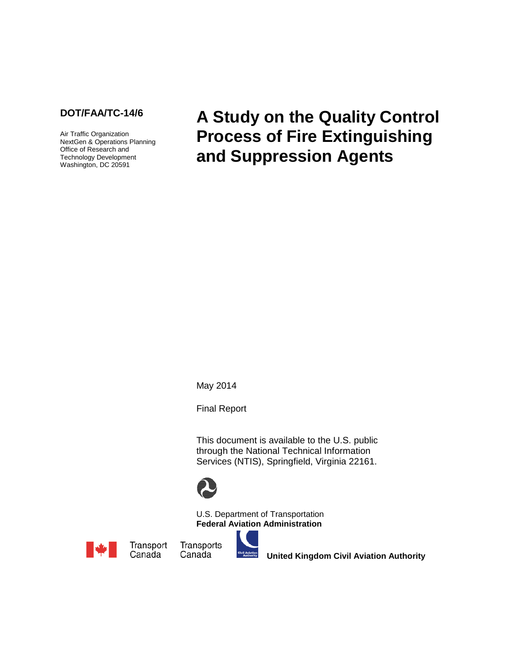### **DOT/FAA/TC-14/6**

Air Traffic Organization NextGen & Operations Planning Office of Research and Technology Development Washington, DC 20591

**A Study on the Quality Control Process of Fire Extinguishing and Suppression Agents**

May 2014

Final Report

This document is available to the U.S. public through the National Technical Information Services (NTIS), Springfield, Virginia 22161.



U.S. Department of Transportation **Federal Aviation Administration**



Transport Canada

Transports ivil Aviation<br>Authority Canada

**United Kingdom Civil Aviation Authority**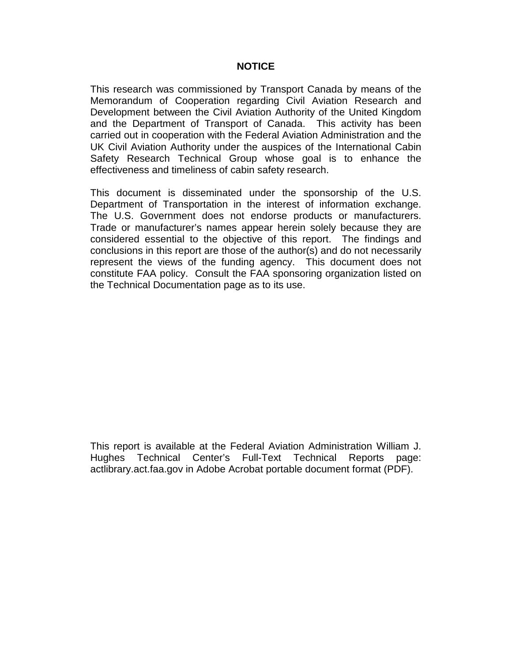#### **NOTICE**

This research was commissioned by Transport Canada by means of the Memorandum of Cooperation regarding Civil Aviation Research and Development between the Civil Aviation Authority of the United Kingdom and the Department of Transport of Canada. This activity has been carried out in cooperation with the Federal Aviation Administration and the UK Civil Aviation Authority under the auspices of the International Cabin Safety Research Technical Group whose goal is to enhance the effectiveness and timeliness of cabin safety research.

This document is disseminated under the sponsorship of the U.S. Department of Transportation in the interest of information exchange. The U.S. Government does not endorse products or manufacturers. Trade or manufacturer's names appear herein solely because they are considered essential to the objective of this report. The findings and conclusions in this report are those of the author(s) and do not necessarily represent the views of the funding agency. This document does not constitute FAA policy. Consult the FAA sponsoring organization listed on the Technical Documentation page as to its use.

This report is available at the Federal Aviation Administration William J. Hughes Technical Center's Full-Text Technical Reports page: actlibrary.act.faa.gov in Adobe Acrobat portable document format (PDF).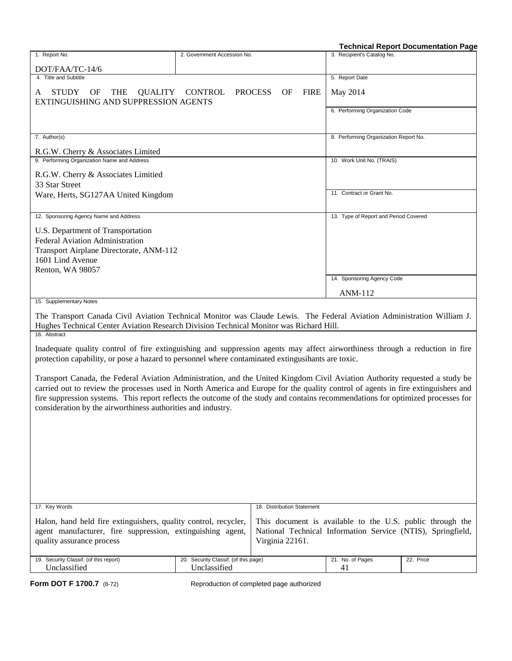|                                                                                                   |                             |                            |             | <b>Technical Report Documentation Page</b>                                                                                                                                                                                                                                                                                                                                                          |
|---------------------------------------------------------------------------------------------------|-----------------------------|----------------------------|-------------|-----------------------------------------------------------------------------------------------------------------------------------------------------------------------------------------------------------------------------------------------------------------------------------------------------------------------------------------------------------------------------------------------------|
| 1. Report No.                                                                                     | 2. Government Accession No. |                            |             | 3. Recipient's Catalog No.                                                                                                                                                                                                                                                                                                                                                                          |
| DOT/FAA/TC-14/6                                                                                   |                             |                            |             |                                                                                                                                                                                                                                                                                                                                                                                                     |
| 4. Title and Subtitle                                                                             |                             |                            |             | 5. Report Date                                                                                                                                                                                                                                                                                                                                                                                      |
| <b>STUDY</b><br>OF<br><b>THE</b><br><b>QUALITY</b><br>А<br>EXTINGUISHING AND SUPPRESSION AGENTS   | <b>CONTROL</b>              | <b>PROCESS</b><br>OF       | <b>FIRE</b> | May 2014                                                                                                                                                                                                                                                                                                                                                                                            |
|                                                                                                   |                             |                            |             | 6. Performing Organization Code                                                                                                                                                                                                                                                                                                                                                                     |
| 7. Author(s)                                                                                      |                             |                            |             | 8. Performing Organization Report No.                                                                                                                                                                                                                                                                                                                                                               |
| R.G.W. Cherry & Associates Limited                                                                |                             |                            |             |                                                                                                                                                                                                                                                                                                                                                                                                     |
| 9. Performing Organization Name and Address                                                       |                             |                            |             | 10. Work Unit No. (TRAIS)                                                                                                                                                                                                                                                                                                                                                                           |
| R.G.W. Cherry & Associates Limitied<br>33 Star Street                                             |                             |                            |             |                                                                                                                                                                                                                                                                                                                                                                                                     |
| Ware, Herts, SG127AA United Kingdom                                                               |                             |                            |             | 11. Contract or Grant No.                                                                                                                                                                                                                                                                                                                                                                           |
|                                                                                                   |                             |                            |             |                                                                                                                                                                                                                                                                                                                                                                                                     |
| 12. Sponsoring Agency Name and Address                                                            |                             |                            |             | 13. Type of Report and Period Covered                                                                                                                                                                                                                                                                                                                                                               |
| U.S. Department of Transportation                                                                 |                             |                            |             |                                                                                                                                                                                                                                                                                                                                                                                                     |
| Federal Aviation Administration<br>Transport Airplane Directorate, ANM-112                        |                             |                            |             |                                                                                                                                                                                                                                                                                                                                                                                                     |
| 1601 Lind Avenue                                                                                  |                             |                            |             |                                                                                                                                                                                                                                                                                                                                                                                                     |
| Renton, WA 98057                                                                                  |                             |                            |             |                                                                                                                                                                                                                                                                                                                                                                                                     |
|                                                                                                   |                             |                            |             | 14. Sponsoring Agency Code                                                                                                                                                                                                                                                                                                                                                                          |
|                                                                                                   |                             |                            |             | ANM-112                                                                                                                                                                                                                                                                                                                                                                                             |
| 15. Supplementary Notes                                                                           |                             |                            |             |                                                                                                                                                                                                                                                                                                                                                                                                     |
| Hughes Technical Center Aviation Research Division Technical Monitor was Richard Hill.            |                             |                            |             | The Transport Canada Civil Aviation Technical Monitor was Claude Lewis. The Federal Aviation Administration William J.                                                                                                                                                                                                                                                                              |
| 16. Abstract                                                                                      |                             |                            |             |                                                                                                                                                                                                                                                                                                                                                                                                     |
| protection capability, or pose a hazard to personnel where contaminated extingusihants are toxic. |                             |                            |             | Inadequate quality control of fire extinguishing and suppression agents may affect airworthiness through a reduction in fire                                                                                                                                                                                                                                                                        |
| consideration by the airworthiness authorities and industry.                                      |                             |                            |             | Transport Canada, the Federal Aviation Administration, and the United Kingdom Civil Aviation Authority requested a study be<br>carried out to review the processes used in North America and Europe for the quality control of agents in fire extinguishers and<br>fire suppression systems. This report reflects the outcome of the study and contains recommendations for optimized processes for |
|                                                                                                   |                             |                            |             |                                                                                                                                                                                                                                                                                                                                                                                                     |
|                                                                                                   |                             |                            |             |                                                                                                                                                                                                                                                                                                                                                                                                     |
|                                                                                                   |                             |                            |             |                                                                                                                                                                                                                                                                                                                                                                                                     |
|                                                                                                   |                             |                            |             |                                                                                                                                                                                                                                                                                                                                                                                                     |
|                                                                                                   |                             |                            |             |                                                                                                                                                                                                                                                                                                                                                                                                     |
|                                                                                                   |                             |                            |             |                                                                                                                                                                                                                                                                                                                                                                                                     |
|                                                                                                   |                             |                            |             |                                                                                                                                                                                                                                                                                                                                                                                                     |
| 17. Key Words                                                                                     |                             | 18. Distribution Statement |             |                                                                                                                                                                                                                                                                                                                                                                                                     |
| Halon, hand held fire extinguishers, quality control, recycler,                                   |                             |                            |             | This document is available to the U.S. public through the                                                                                                                                                                                                                                                                                                                                           |

| 19.<br>Security Classif. (of this report) | . Security Classif. (of this page)<br>ZU. | No. of Pages<br>$\mathbf{a}$ | ົດດ<br>Price<br>22. I |
|-------------------------------------------|-------------------------------------------|------------------------------|-----------------------|
| $\cdot$ $\sim$<br><i>Inclassified</i>     | $\sim$<br>dassitiec                       |                              |                       |

Virginia 22161.

National Technical Information Service (NTIS), Springfield,

quality assurance process

agent manufacturer, fire suppression, extinguishing agent,

**Form DOT F 1700.7** (8-72) Reproduction of completed page authorized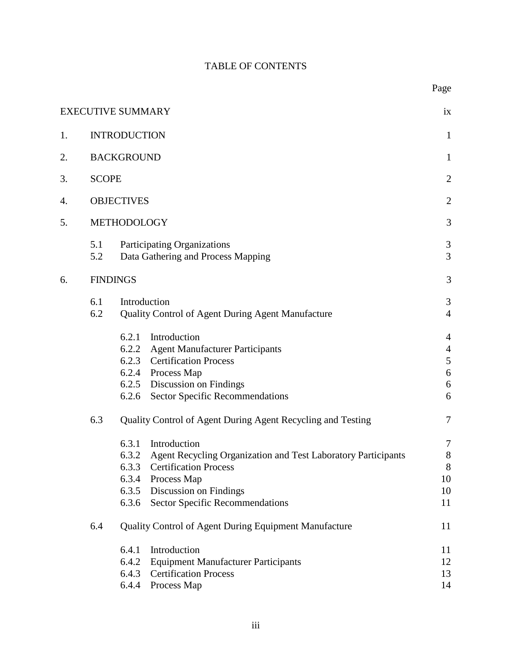# TABLE OF CONTENTS

|    |                   | <b>EXECUTIVE SUMMARY</b>         |                                                                                                                                                                                                              | ix                                                                  |
|----|-------------------|----------------------------------|--------------------------------------------------------------------------------------------------------------------------------------------------------------------------------------------------------------|---------------------------------------------------------------------|
| 1. |                   | <b>INTRODUCTION</b>              |                                                                                                                                                                                                              | $\mathbf{1}$                                                        |
| 2. | <b>BACKGROUND</b> |                                  |                                                                                                                                                                                                              | $\mathbf{1}$                                                        |
| 3. | <b>SCOPE</b>      |                                  |                                                                                                                                                                                                              | $\mathfrak{2}$                                                      |
| 4. |                   | <b>OBJECTIVES</b>                |                                                                                                                                                                                                              | $\overline{2}$                                                      |
| 5. |                   | METHODOLOGY                      |                                                                                                                                                                                                              | 3                                                                   |
|    | 5.1<br>5.2        |                                  | <b>Participating Organizations</b><br>Data Gathering and Process Mapping                                                                                                                                     | 3<br>3                                                              |
| 6. | <b>FINDINGS</b>   |                                  |                                                                                                                                                                                                              | 3                                                                   |
|    | 6.1<br>6.2        | Introduction                     | <b>Quality Control of Agent During Agent Manufacture</b>                                                                                                                                                     | 3<br>$\overline{4}$                                                 |
|    |                   | 6.2.1<br>6.2.6                   | Introduction<br>6.2.2 Agent Manufacturer Participants<br>6.2.3 Certification Process<br>6.2.4 Process Map<br>6.2.5 Discussion on Findings<br><b>Sector Specific Recommendations</b>                          | $\overline{4}$<br>$\overline{4}$<br>5<br>$\boldsymbol{6}$<br>6<br>6 |
|    | 6.3               |                                  | Quality Control of Agent During Agent Recycling and Testing                                                                                                                                                  | 7                                                                   |
|    |                   | 6.3.1<br>6.3.3<br>6.3.5<br>6.3.6 | Introduction<br>6.3.2 Agent Recycling Organization and Test Laboratory Participants<br><b>Certification Process</b><br>6.3.4 Process Map<br>Discussion on Findings<br><b>Sector Specific Recommendations</b> | 7<br>$8\,$<br>8<br>10<br>10<br>11                                   |
|    | 6.4               |                                  | <b>Quality Control of Agent During Equipment Manufacture</b>                                                                                                                                                 | 11                                                                  |
|    |                   | 6.4.1<br>6.4.2<br>6.4.3<br>6.4.4 | Introduction<br><b>Equipment Manufacturer Participants</b><br><b>Certification Process</b><br>Process Map                                                                                                    | 11<br>12<br>13<br>14                                                |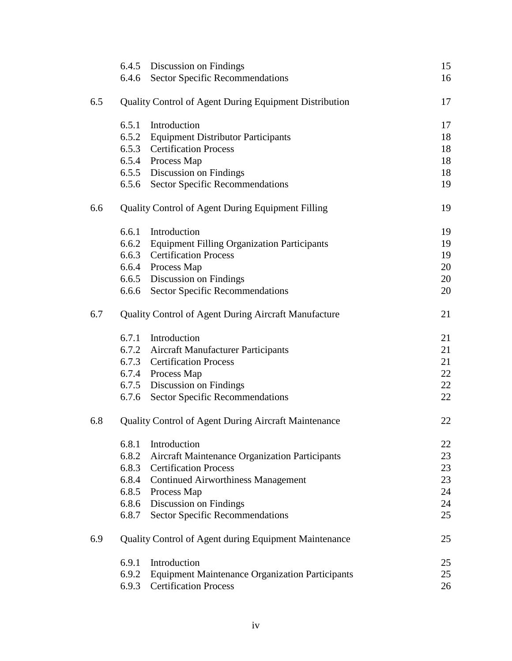|     |       | 6.4.5 Discussion on Findings                                  | 15 |
|-----|-------|---------------------------------------------------------------|----|
|     |       | 6.4.6 Sector Specific Recommendations                         | 16 |
| 6.5 |       | <b>Quality Control of Agent During Equipment Distribution</b> | 17 |
|     | 6.5.1 | Introduction                                                  | 17 |
|     |       | 6.5.2 Equipment Distributor Participants                      | 18 |
|     |       | 6.5.3 Certification Process                                   | 18 |
|     |       | 6.5.4 Process Map                                             | 18 |
|     |       | 6.5.5 Discussion on Findings                                  | 18 |
|     |       | 6.5.6 Sector Specific Recommendations                         | 19 |
| 6.6 |       | <b>Quality Control of Agent During Equipment Filling</b>      | 19 |
|     | 6.6.1 | Introduction                                                  | 19 |
|     |       | 6.6.2 Equipment Filling Organization Participants             | 19 |
|     |       | 6.6.3 Certification Process                                   | 19 |
|     |       | 6.6.4 Process Map                                             | 20 |
|     |       | 6.6.5 Discussion on Findings                                  | 20 |
|     |       | 6.6.6 Sector Specific Recommendations                         | 20 |
| 6.7 |       | <b>Quality Control of Agent During Aircraft Manufacture</b>   | 21 |
|     |       | 6.7.1 Introduction                                            | 21 |
|     |       | 6.7.2 Aircraft Manufacturer Participants                      | 21 |
|     |       | 6.7.3 Certification Process                                   | 21 |
|     |       | 6.7.4 Process Map                                             | 22 |
|     |       | 6.7.5 Discussion on Findings                                  | 22 |
|     |       | 6.7.6 Sector Specific Recommendations                         | 22 |
| 6.8 |       | <b>Quality Control of Agent During Aircraft Maintenance</b>   | 22 |
|     | 6.8.1 | Introduction                                                  | 22 |
|     |       | 6.8.2 Aircraft Maintenance Organization Participants          | 23 |
|     | 6.8.3 | <b>Certification Process</b>                                  | 23 |
|     |       | 6.8.4 Continued Airworthiness Management                      | 23 |
|     |       | 6.8.5 Process Map                                             | 24 |
|     |       | 6.8.6 Discussion on Findings                                  | 24 |
|     | 6.8.7 | <b>Sector Specific Recommendations</b>                        | 25 |
| 6.9 |       | Quality Control of Agent during Equipment Maintenance         | 25 |
|     | 6.9.1 | Introduction                                                  | 25 |
|     | 6.9.2 | <b>Equipment Maintenance Organization Participants</b>        | 25 |
|     | 6.9.3 | <b>Certification Process</b>                                  | 26 |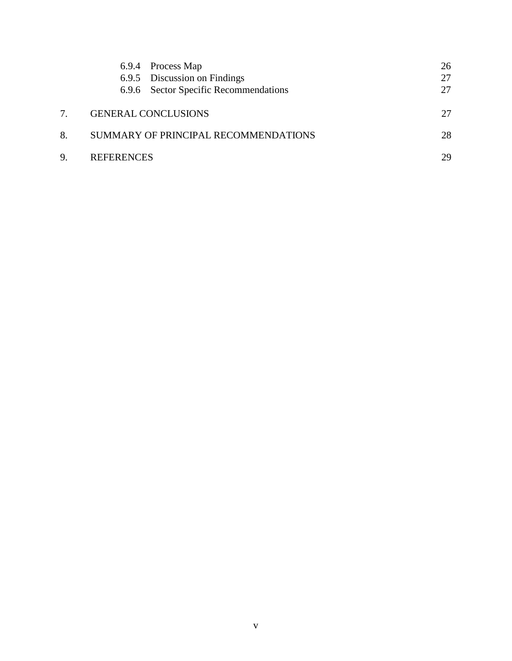|    |                   | 6.9.4 Process Map<br>6.9.5 Discussion on Findings<br>6.9.6 Sector Specific Recommendations | 26<br>27<br>27 |
|----|-------------------|--------------------------------------------------------------------------------------------|----------------|
|    |                   | <b>GENERAL CONCLUSIONS</b>                                                                 | 27             |
| 8. |                   | SUMMARY OF PRINCIPAL RECOMMENDATIONS                                                       | 28             |
| 9. | <b>REFERENCES</b> |                                                                                            | 29             |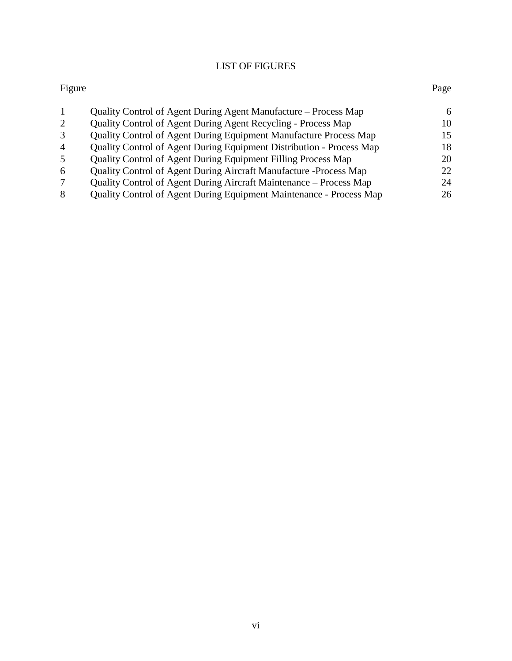### LIST OF FIGURES

# Figure Page [Quality Control of Agent During Agent Manufacture –](#page-16-0) Process Map 6 [Quality Control of Agent During Agent Recycling -](#page-20-0) Process Map 10<br>3 Ouality Control of Agent During Equipment Manufacture Process Map 15 [Quality Control of Agent During Equipment Manufacture Process Map](#page-25-0) 15 [Quality Control of Agent During Equipment Distribution -](#page-28-0) Process Map 18<br>5 Quality Control of Agent During Equipment Filling Process Map 20 [Quality Control of Agent During Equipment Filling Process Map](#page-30-0) [Quality Control of Agent During Aircraft Manufacture -Process Map](#page-32-0) 22 [Quality Control of Agent During Aircraft Maintenance –](#page-34-0) Process Map 24 [Quality Control of Agent During Equipment Maintenance -](#page-36-0) Process Map 26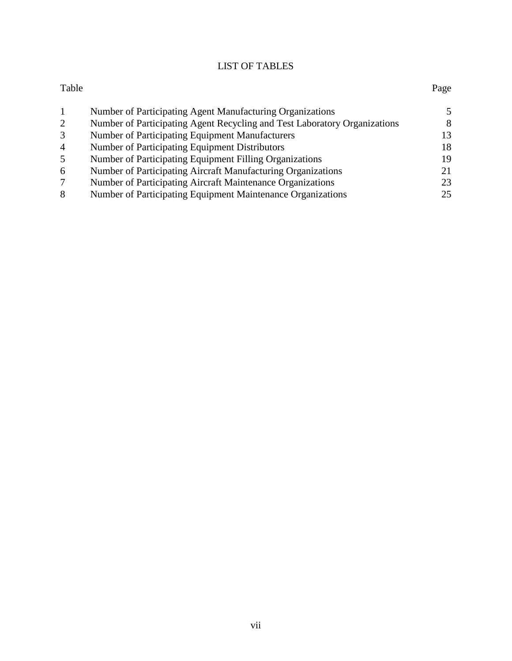### LIST OF TABLES

# Table Page 1 [Number of Participating Agent Manufacturing Organizations](#page-15-0) 5 2 [Number of Participating Agent Recycling and Test Laboratory Organizations](#page-18-0) 8<br>3 Number of Participating Equipment Manufacturers 13 [Number of Participating Equipment Manufacturers](#page-23-0) 13 4 [Number of Participating Equipment Distributors](#page-28-0) 18<br>5 Number of Participating Equipment Filling Organizations 19 [Number of Participating Equipment Filling Organizations](#page-29-0) 6 [Number of Participating Aircraft Manufacturing Organizations](#page-31-0) 21 7 [Number of Participating Aircraft Maintenance Organizations](#page-33-0) 23

8 [Number of Participating Equipment Maintenance Organizations](#page-35-0) 25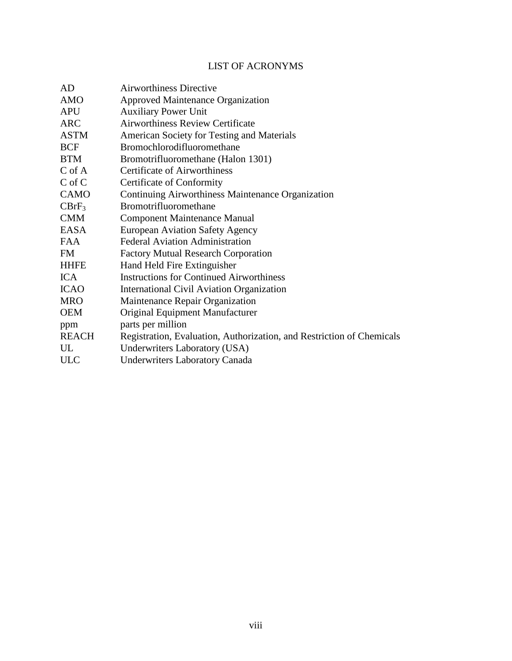# LIST OF ACRONYMS

| AD           | <b>Airworthiness Directive</b>                                        |
|--------------|-----------------------------------------------------------------------|
| <b>AMO</b>   | <b>Approved Maintenance Organization</b>                              |
| <b>APU</b>   | <b>Auxiliary Power Unit</b>                                           |
| <b>ARC</b>   | <b>Airworthiness Review Certificate</b>                               |
| <b>ASTM</b>  | American Society for Testing and Materials                            |
| <b>BCF</b>   | Bromochlorodifluoromethane                                            |
| <b>BTM</b>   | Bromotrifluoromethane (Halon 1301)                                    |
| $C$ of A     | <b>Certificate of Airworthiness</b>                                   |
| $C$ of $C$   | <b>Certificate of Conformity</b>                                      |
| <b>CAMO</b>  | Continuing Airworthiness Maintenance Organization                     |
| $CBrF_3$     | Bromotrifluoromethane                                                 |
| <b>CMM</b>   | <b>Component Maintenance Manual</b>                                   |
| <b>EASA</b>  | <b>European Aviation Safety Agency</b>                                |
| <b>FAA</b>   | <b>Federal Aviation Administration</b>                                |
| FM           | <b>Factory Mutual Research Corporation</b>                            |
| <b>HHFE</b>  | Hand Held Fire Extinguisher                                           |
| <b>ICA</b>   | <b>Instructions for Continued Airworthiness</b>                       |
| <b>ICAO</b>  | <b>International Civil Aviation Organization</b>                      |
| <b>MRO</b>   | Maintenance Repair Organization                                       |
| <b>OEM</b>   | Original Equipment Manufacturer                                       |
| ppm          | parts per million                                                     |
| <b>REACH</b> | Registration, Evaluation, Authorization, and Restriction of Chemicals |
| UL           | Underwriters Laboratory (USA)                                         |
| <b>ULC</b>   | <b>Underwriters Laboratory Canada</b>                                 |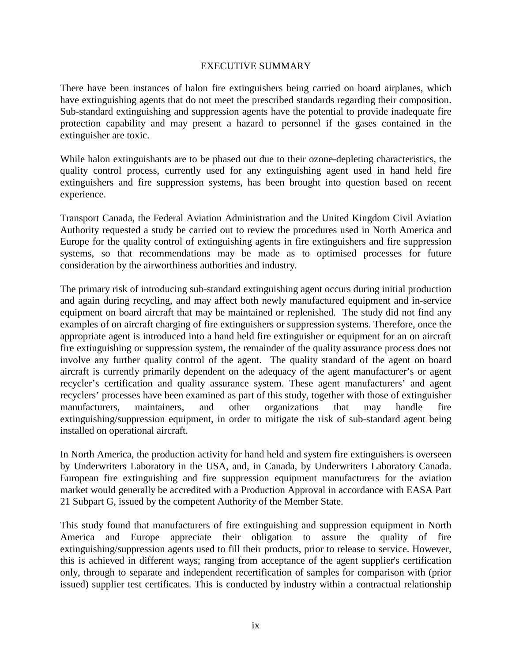#### EXECUTIVE SUMMARY

<span id="page-9-0"></span>There have been instances of halon fire extinguishers being carried on board airplanes, which have extinguishing agents that do not meet the prescribed standards regarding their composition. Sub-standard extinguishing and suppression agents have the potential to provide inadequate fire protection capability and may present a hazard to personnel if the gases contained in the extinguisher are toxic.

While halon extinguishants are to be phased out due to their ozone-depleting characteristics, the quality control process, currently used for any extinguishing agent used in hand held fire extinguishers and fire suppression systems, has been brought into question based on recent experience.

Transport Canada, the Federal Aviation Administration and the United Kingdom Civil Aviation Authority requested a study be carried out to review the procedures used in North America and Europe for the quality control of extinguishing agents in fire extinguishers and fire suppression systems, so that recommendations may be made as to optimised processes for future consideration by the airworthiness authorities and industry.

The primary risk of introducing sub-standard extinguishing agent occurs during initial production and again during recycling, and may affect both newly manufactured equipment and in-service equipment on board aircraft that may be maintained or replenished. The study did not find any examples of on aircraft charging of fire extinguishers or suppression systems. Therefore, once the appropriate agent is introduced into a hand held fire extinguisher or equipment for an on aircraft fire extinguishing or suppression system, the remainder of the quality assurance process does not involve any further quality control of the agent. The quality standard of the agent on board aircraft is currently primarily dependent on the adequacy of the agent manufacturer's or agent recycler's certification and quality assurance system. These agent manufacturers' and agent recyclers' processes have been examined as part of this study, together with those of extinguisher manufacturers, maintainers, and other organizations that may handle fire extinguishing/suppression equipment, in order to mitigate the risk of sub-standard agent being installed on operational aircraft.

In North America, the production activity for hand held and system fire extinguishers is overseen by Underwriters Laboratory in the USA, and, in Canada, by Underwriters Laboratory Canada. European fire extinguishing and fire suppression equipment manufacturers for the aviation market would generally be accredited with a Production Approval in accordance with EASA Part 21 Subpart G, issued by the competent Authority of the Member State.

This study found that manufacturers of fire extinguishing and suppression equipment in North America and Europe appreciate their obligation to assure the quality of fire extinguishing/suppression agents used to fill their products, prior to release to service. However, this is achieved in different ways; ranging from acceptance of the agent supplier's certification only, through to separate and independent recertification of samples for comparison with (prior issued) supplier test certificates. This is conducted by industry within a contractual relationship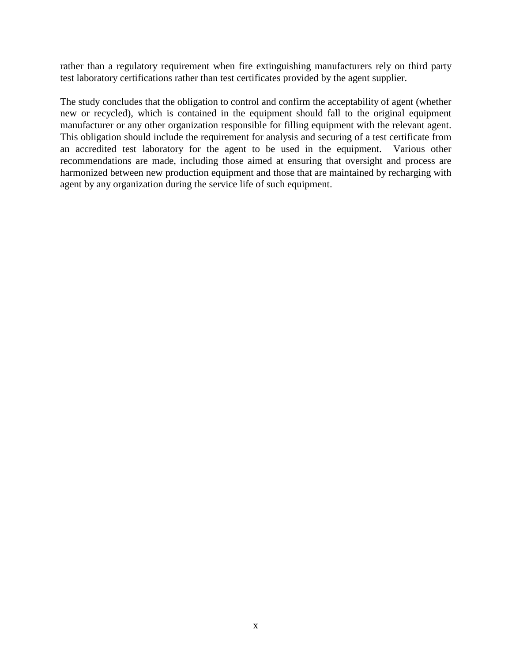rather than a regulatory requirement when fire extinguishing manufacturers rely on third party test laboratory certifications rather than test certificates provided by the agent supplier.

The study concludes that the obligation to control and confirm the acceptability of agent (whether new or recycled), which is contained in the equipment should fall to the original equipment manufacturer or any other organization responsible for filling equipment with the relevant agent. This obligation should include the requirement for analysis and securing of a test certificate from an accredited test laboratory for the agent to be used in the equipment. Various other recommendations are made, including those aimed at ensuring that oversight and process are harmonized between new production equipment and those that are maintained by recharging with agent by any organization during the service life of such equipment.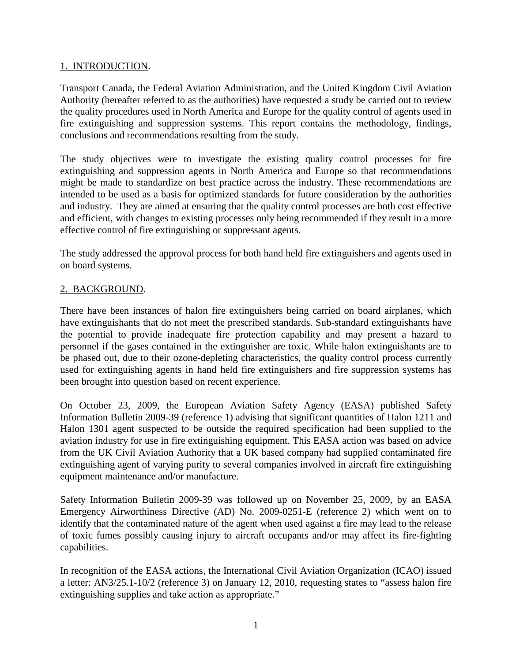### <span id="page-11-0"></span>1. INTRODUCTION.

Transport Canada, the Federal Aviation Administration, and the United Kingdom Civil Aviation Authority (hereafter referred to as the authorities) have requested a study be carried out to review the quality procedures used in North America and Europe for the quality control of agents used in fire extinguishing and suppression systems. This report contains the methodology, findings, conclusions and recommendations resulting from the study.

The study objectives were to investigate the existing quality control processes for fire extinguishing and suppression agents in North America and Europe so that recommendations might be made to standardize on best practice across the industry. These recommendations are intended to be used as a basis for optimized standards for future consideration by the authorities and industry. They are aimed at ensuring that the quality control processes are both cost effective and efficient, with changes to existing processes only being recommended if they result in a more effective control of fire extinguishing or suppressant agents.

The study addressed the approval process for both hand held fire extinguishers and agents used in on board systems.

### 2. BACKGROUND.

There have been instances of halon fire extinguishers being carried on board airplanes, which have extinguishants that do not meet the prescribed standards. Sub-standard extinguishants have the potential to provide inadequate fire protection capability and may present a hazard to personnel if the gases contained in the extinguisher are toxic. While halon extinguishants are to be phased out, due to their ozone-depleting characteristics, the quality control process currently used for extinguishing agents in hand held fire extinguishers and fire suppression systems has been brought into question based on recent experience.

On October 23, 2009, the European Aviation Safety Agency (EASA) published Safety Information Bulletin 2009-39 (reference 1) advising that significant quantities of Halon 1211 and Halon 1301 agent suspected to be outside the required specification had been supplied to the aviation industry for use in fire extinguishing equipment. This EASA action was based on advice from the UK Civil Aviation Authority that a UK based company had supplied contaminated fire extinguishing agent of varying purity to several companies involved in aircraft fire extinguishing equipment maintenance and/or manufacture.

Safety Information Bulletin 2009-39 was followed up on November 25, 2009, by an EASA Emergency Airworthiness Directive (AD) No. 2009-0251-E (reference 2) which went on to identify that the contaminated nature of the agent when used against a fire may lead to the release of toxic fumes possibly causing injury to aircraft occupants and/or may affect its fire-fighting capabilities.

In recognition of the EASA actions, the International Civil Aviation Organization (ICAO) issued a letter: AN3/25.1-10/2 (reference 3) on January 12, 2010, requesting states to "assess halon fire extinguishing supplies and take action as appropriate."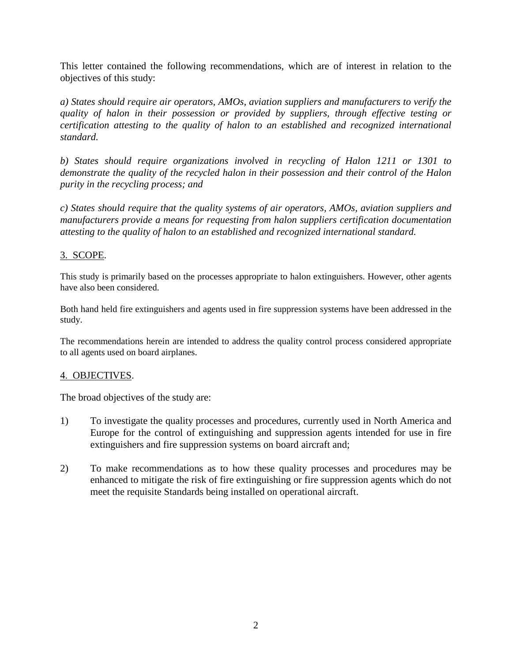<span id="page-12-0"></span>This letter contained the following recommendations, which are of interest in relation to the objectives of this study:

*a) States should require air operators, AMOs, aviation suppliers and manufacturers to verify the quality of halon in their possession or provided by suppliers, through effective testing or certification attesting to the quality of halon to an established and recognized international standard.* 

*b) States should require organizations involved in recycling of Halon 1211 or 1301 to demonstrate the quality of the recycled halon in their possession and their control of the Halon purity in the recycling process; and*

*c) States should require that the quality systems of air operators, AMOs, aviation suppliers and manufacturers provide a means for requesting from halon suppliers certification documentation attesting to the quality of halon to an established and recognized international standard.*

### 3. SCOPE.

This study is primarily based on the processes appropriate to halon extinguishers. However, other agents have also been considered.

Both hand held fire extinguishers and agents used in fire suppression systems have been addressed in the study.

The recommendations herein are intended to address the quality control process considered appropriate to all agents used on board airplanes.

#### 4. OBJECTIVES.

The broad objectives of the study are:

- 1) To investigate the quality processes and procedures, currently used in North America and Europe for the control of extinguishing and suppression agents intended for use in fire extinguishers and fire suppression systems on board aircraft and;
- 2) To make recommendations as to how these quality processes and procedures may be enhanced to mitigate the risk of fire extinguishing or fire suppression agents which do not meet the requisite Standards being installed on operational aircraft.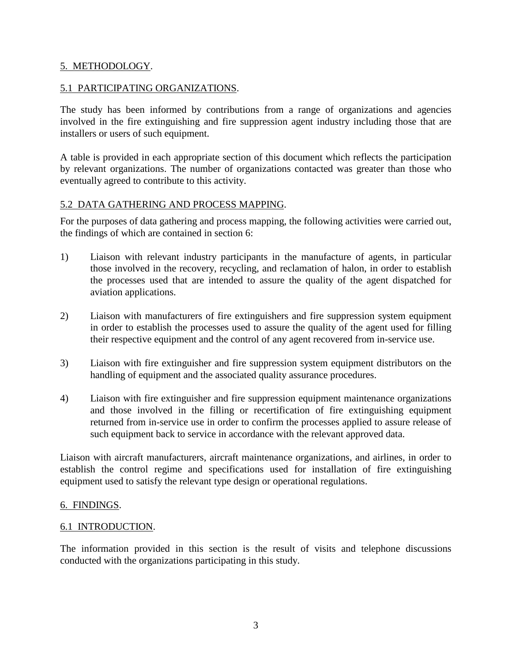### <span id="page-13-0"></span>5. METHODOLOGY.

### 5.1 PARTICIPATING ORGANIZATIONS.

The study has been informed by contributions from a range of organizations and agencies involved in the fire extinguishing and fire suppression agent industry including those that are installers or users of such equipment.

A table is provided in each appropriate section of this document which reflects the participation by relevant organizations. The number of organizations contacted was greater than those who eventually agreed to contribute to this activity.

#### 5.2 DATA GATHERING AND PROCESS MAPPING.

For the purposes of data gathering and process mapping, the following activities were carried out, the findings of which are contained in section 6:

- 1) Liaison with relevant industry participants in the manufacture of agents, in particular those involved in the recovery, recycling, and reclamation of halon, in order to establish the processes used that are intended to assure the quality of the agent dispatched for aviation applications.
- 2) Liaison with manufacturers of fire extinguishers and fire suppression system equipment in order to establish the processes used to assure the quality of the agent used for filling their respective equipment and the control of any agent recovered from in-service use.
- 3) Liaison with fire extinguisher and fire suppression system equipment distributors on the handling of equipment and the associated quality assurance procedures.
- 4) Liaison with fire extinguisher and fire suppression equipment maintenance organizations and those involved in the filling or recertification of fire extinguishing equipment returned from in-service use in order to confirm the processes applied to assure release of such equipment back to service in accordance with the relevant approved data.

Liaison with aircraft manufacturers, aircraft maintenance organizations, and airlines, in order to establish the control regime and specifications used for installation of fire extinguishing equipment used to satisfy the relevant type design or operational regulations.

#### 6. FINDINGS.

#### 6.1 INTRODUCTION.

The information provided in this section is the result of visits and telephone discussions conducted with the organizations participating in this study.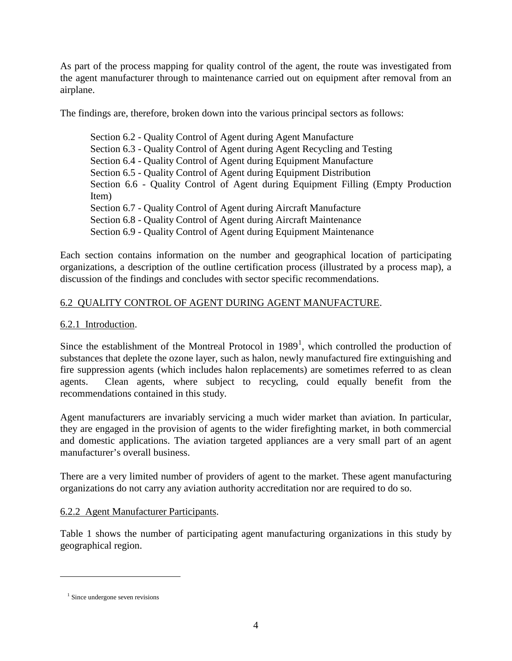<span id="page-14-0"></span>As part of the process mapping for quality control of the agent, the route was investigated from the agent manufacturer through to maintenance carried out on equipment after removal from an airplane.

The findings are, therefore, broken down into the various principal sectors as follows:

Section 6.2 - Quality Control of Agent during Agent Manufacture Section 6.3 - Quality Control of Agent during Agent Recycling and Testing Section 6.4 - Quality Control of Agent during Equipment Manufacture Section 6.5 - Quality Control of Agent during Equipment Distribution Section 6.6 - Quality Control of Agent during Equipment Filling (Empty Production Item) Section 6.7 - Quality Control of Agent during Aircraft Manufacture Section 6.8 - Quality Control of Agent during Aircraft Maintenance Section 6.9 - Quality Control of Agent during Equipment Maintenance

Each section contains information on the number and geographical location of participating organizations, a description of the outline certification process (illustrated by a process map), a discussion of the findings and concludes with sector specific recommendations.

# 6.2 QUALITY CONTROL OF AGENT DURING AGENT MANUFACTURE.

### 6.2.1 Introduction.

Since the establishment of the Montreal Protocol in  $1989<sup>1</sup>$  $1989<sup>1</sup>$ , which controlled the production of substances that deplete the ozone layer, such as halon, newly manufactured fire extinguishing and fire suppression agents (which includes halon replacements) are sometimes referred to as clean agents. Clean agents, where subject to recycling, could equally benefit from the recommendations contained in this study.

Agent manufacturers are invariably servicing a much wider market than aviation. In particular, they are engaged in the provision of agents to the wider firefighting market, in both commercial and domestic applications. The aviation targeted appliances are a very small part of an agent manufacturer's overall business.

There are a very limited number of providers of agent to the market. These agent manufacturing organizations do not carry any aviation authority accreditation nor are required to do so.

#### 6.2.2 Agent Manufacturer Participants.

Table 1 shows the number of participating agent manufacturing organizations in this study by geographical region.

<span id="page-14-1"></span> $\overline{a}$ 

 $<sup>1</sup>$  Since undergone seven revisions</sup>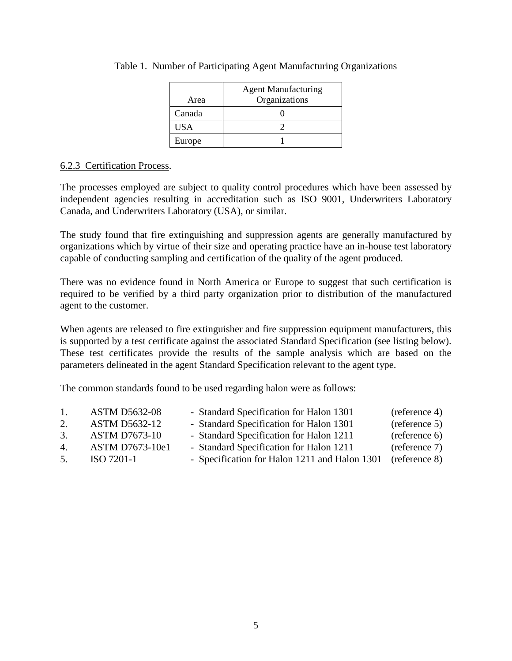|            | <b>Agent Manufacturing</b> |
|------------|----------------------------|
| Area       | Organizations              |
| Canada     |                            |
| <b>USA</b> |                            |
| Europe     |                            |

### <span id="page-15-0"></span>Table 1. Number of Participating Agent Manufacturing Organizations

### 6.2.3 Certification Process.

The processes employed are subject to quality control procedures which have been assessed by independent agencies resulting in accreditation such as ISO 9001, Underwriters Laboratory Canada, and Underwriters Laboratory (USA), or similar.

The study found that fire extinguishing and suppression agents are generally manufactured by organizations which by virtue of their size and operating practice have an in-house test laboratory capable of conducting sampling and certification of the quality of the agent produced.

There was no evidence found in North America or Europe to suggest that such certification is required to be verified by a third party organization prior to distribution of the manufactured agent to the customer.

When agents are released to fire extinguisher and fire suppression equipment manufacturers, this is supported by a test certificate against the associated Standard Specification (see listing below). These test certificates provide the results of the sample analysis which are based on the parameters delineated in the agent Standard Specification relevant to the agent type.

The common standards found to be used regarding halon were as follows:

| $1_{-}$<br>2.<br>3.<br>4.<br>5. | <b>ASTM D5632-08</b><br><b>ASTM D5632-12</b><br><b>ASTM D7673-10</b><br>ASTM D7673-10e1<br>ISO 7201-1 | - Standard Specification for Halon 1301<br>- Standard Specification for Halon 1301<br>- Standard Specification for Halon 1211<br>- Standard Specification for Halon 1211<br>- Specification for Halon 1211 and Halon 1301 (reference 8) | (reference 4)<br>(reference 5)<br>(reference 6)<br>(reference 7) |
|---------------------------------|-------------------------------------------------------------------------------------------------------|-----------------------------------------------------------------------------------------------------------------------------------------------------------------------------------------------------------------------------------------|------------------------------------------------------------------|
|---------------------------------|-------------------------------------------------------------------------------------------------------|-----------------------------------------------------------------------------------------------------------------------------------------------------------------------------------------------------------------------------------------|------------------------------------------------------------------|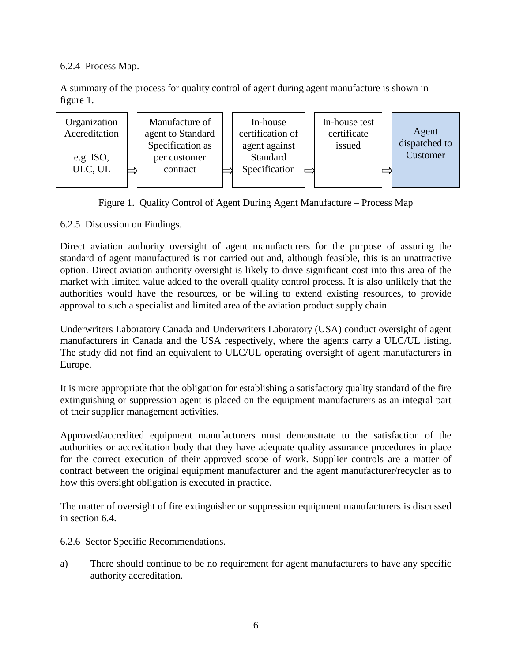### <span id="page-16-0"></span>6.2.4 Process Map.

A summary of the process for quality control of agent during agent manufacture is shown in figure 1.



Figure 1. Quality Control of Agent During Agent Manufacture – Process Map

# 6.2.5 Discussion on Findings.

Direct aviation authority oversight of agent manufacturers for the purpose of assuring the standard of agent manufactured is not carried out and, although feasible, this is an unattractive option. Direct aviation authority oversight is likely to drive significant cost into this area of the market with limited value added to the overall quality control process. It is also unlikely that the authorities would have the resources, or be willing to extend existing resources, to provide approval to such a specialist and limited area of the aviation product supply chain.

Underwriters Laboratory Canada and Underwriters Laboratory (USA) conduct oversight of agent manufacturers in Canada and the USA respectively, where the agents carry a ULC/UL listing. The study did not find an equivalent to ULC/UL operating oversight of agent manufacturers in Europe.

It is more appropriate that the obligation for establishing a satisfactory quality standard of the fire extinguishing or suppression agent is placed on the equipment manufacturers as an integral part of their supplier management activities.

Approved/accredited equipment manufacturers must demonstrate to the satisfaction of the authorities or accreditation body that they have adequate quality assurance procedures in place for the correct execution of their approved scope of work. Supplier controls are a matter of contract between the original equipment manufacturer and the agent manufacturer/recycler as to how this oversight obligation is executed in practice.

The matter of oversight of fire extinguisher or suppression equipment manufacturers is discussed in section 6.4.

### 6.2.6 Sector Specific Recommendations.

a) There should continue to be no requirement for agent manufacturers to have any specific authority accreditation.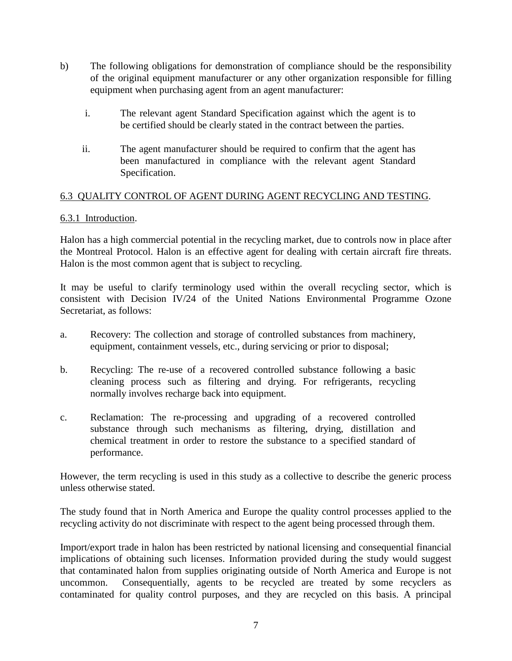- <span id="page-17-0"></span>b) The following obligations for demonstration of compliance should be the responsibility of the original equipment manufacturer or any other organization responsible for filling equipment when purchasing agent from an agent manufacturer:
	- i. The relevant agent Standard Specification against which the agent is to be certified should be clearly stated in the contract between the parties.
	- ii. The agent manufacturer should be required to confirm that the agent has been manufactured in compliance with the relevant agent Standard Specification.

### 6.3 QUALITY CONTROL OF AGENT DURING AGENT RECYCLING AND TESTING.

### 6.3.1 Introduction.

Halon has a high commercial potential in the recycling market, due to controls now in place after the Montreal Protocol. Halon is an effective agent for dealing with certain aircraft fire threats. Halon is the most common agent that is subject to recycling.

It may be useful to clarify terminology used within the overall recycling sector, which is consistent with Decision IV/24 of the United Nations Environmental Programme Ozone Secretariat, as follows:

- a. Recovery: The collection and storage of controlled substances from machinery, equipment, containment vessels, etc., during servicing or prior to disposal;
- b. Recycling: The re-use of a recovered controlled substance following a basic cleaning process such as filtering and drying. For refrigerants, recycling normally involves recharge back into equipment.
- c. Reclamation: The re-processing and upgrading of a recovered controlled substance through such mechanisms as filtering, drying, distillation and chemical treatment in order to restore the substance to a specified standard of performance.

However, the term recycling is used in this study as a collective to describe the generic process unless otherwise stated.

The study found that in North America and Europe the quality control processes applied to the recycling activity do not discriminate with respect to the agent being processed through them.

Import/export trade in halon has been restricted by national licensing and consequential financial implications of obtaining such licenses. Information provided during the study would suggest that contaminated halon from supplies originating outside of North America and Europe is not uncommon. Consequentially, agents to be recycled are treated by some recyclers as contaminated for quality control purposes, and they are recycled on this basis. A principal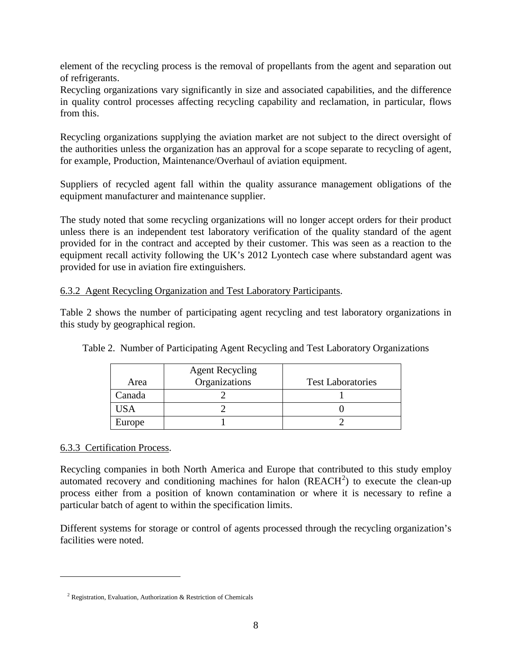<span id="page-18-0"></span>element of the recycling process is the removal of propellants from the agent and separation out of refrigerants.

Recycling organizations vary significantly in size and associated capabilities, and the difference in quality control processes affecting recycling capability and reclamation, in particular, flows from this.

Recycling organizations supplying the aviation market are not subject to the direct oversight of the authorities unless the organization has an approval for a scope separate to recycling of agent, for example, Production, Maintenance/Overhaul of aviation equipment.

Suppliers of recycled agent fall within the quality assurance management obligations of the equipment manufacturer and maintenance supplier.

The study noted that some recycling organizations will no longer accept orders for their product unless there is an independent test laboratory verification of the quality standard of the agent provided for in the contract and accepted by their customer. This was seen as a reaction to the equipment recall activity following the UK's 2012 Lyontech case where substandard agent was provided for use in aviation fire extinguishers.

6.3.2 Agent Recycling Organization and Test Laboratory Participants.

Table 2 shows the number of participating agent recycling and test laboratory organizations in this study by geographical region.

| Area   | <b>Agent Recycling</b><br>Organizations | <b>Test Laboratories</b> |
|--------|-----------------------------------------|--------------------------|
| Canada |                                         |                          |
| 'ISA   |                                         |                          |
| Europe |                                         |                          |

Table 2. Number of Participating Agent Recycling and Test Laboratory Organizations

#### 6.3.3 Certification Process.

<span id="page-18-1"></span> $\overline{a}$ 

Recycling companies in both North America and Europe that contributed to this study employ automated recovery and conditioning machines for halon  $(REACH<sup>2</sup>)$  $(REACH<sup>2</sup>)$  $(REACH<sup>2</sup>)$  to execute the clean-up process either from a position of known contamination or where it is necessary to refine a particular batch of agent to within the specification limits.

Different systems for storage or control of agents processed through the recycling organization's facilities were noted.

 $2$  Registration, Evaluation, Authorization & Restriction of Chemicals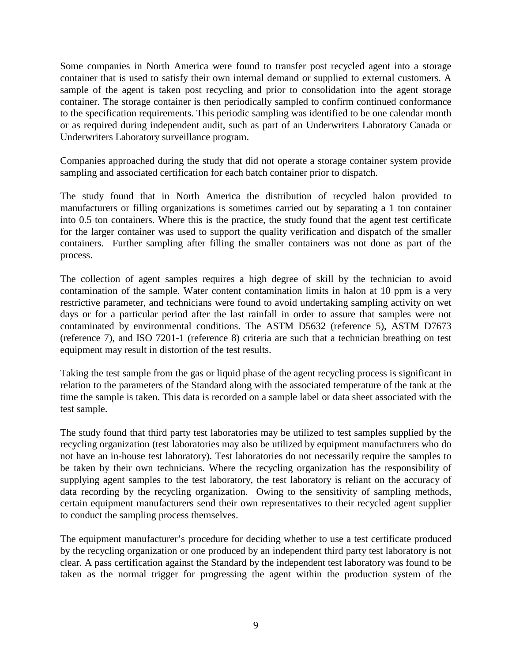Some companies in North America were found to transfer post recycled agent into a storage container that is used to satisfy their own internal demand or supplied to external customers. A sample of the agent is taken post recycling and prior to consolidation into the agent storage container. The storage container is then periodically sampled to confirm continued conformance to the specification requirements. This periodic sampling was identified to be one calendar month or as required during independent audit, such as part of an Underwriters Laboratory Canada or Underwriters Laboratory surveillance program.

Companies approached during the study that did not operate a storage container system provide sampling and associated certification for each batch container prior to dispatch.

The study found that in North America the distribution of recycled halon provided to manufacturers or filling organizations is sometimes carried out by separating a 1 ton container into 0.5 ton containers. Where this is the practice, the study found that the agent test certificate for the larger container was used to support the quality verification and dispatch of the smaller containers. Further sampling after filling the smaller containers was not done as part of the process.

The collection of agent samples requires a high degree of skill by the technician to avoid contamination of the sample. Water content contamination limits in halon at 10 ppm is a very restrictive parameter, and technicians were found to avoid undertaking sampling activity on wet days or for a particular period after the last rainfall in order to assure that samples were not contaminated by environmental conditions. The ASTM D5632 (reference 5), ASTM D7673 (reference 7), and ISO 7201-1 (reference 8) criteria are such that a technician breathing on test equipment may result in distortion of the test results.

Taking the test sample from the gas or liquid phase of the agent recycling process is significant in relation to the parameters of the Standard along with the associated temperature of the tank at the time the sample is taken. This data is recorded on a sample label or data sheet associated with the test sample.

The study found that third party test laboratories may be utilized to test samples supplied by the recycling organization (test laboratories may also be utilized by equipment manufacturers who do not have an in-house test laboratory). Test laboratories do not necessarily require the samples to be taken by their own technicians. Where the recycling organization has the responsibility of supplying agent samples to the test laboratory, the test laboratory is reliant on the accuracy of data recording by the recycling organization. Owing to the sensitivity of sampling methods, certain equipment manufacturers send their own representatives to their recycled agent supplier to conduct the sampling process themselves.

The equipment manufacturer's procedure for deciding whether to use a test certificate produced by the recycling organization or one produced by an independent third party test laboratory is not clear. A pass certification against the Standard by the independent test laboratory was found to be taken as the normal trigger for progressing the agent within the production system of the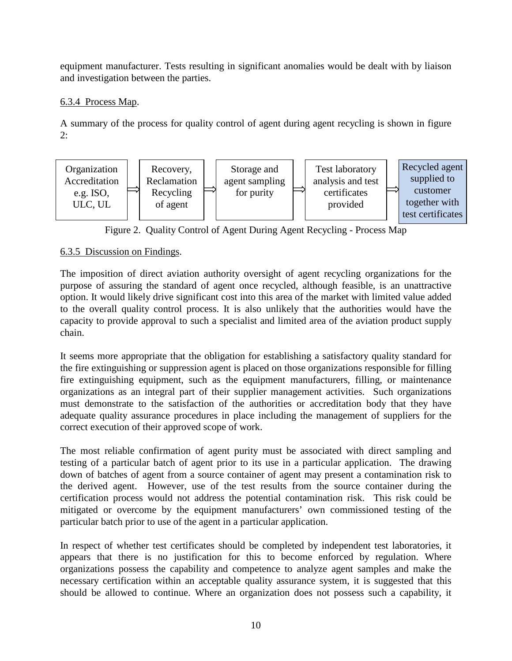<span id="page-20-0"></span>equipment manufacturer. Tests resulting in significant anomalies would be dealt with by liaison and investigation between the parties.

# 6.3.4 Process Map.

A summary of the process for quality control of agent during agent recycling is shown in figure  $2$ :



Figure 2. Quality Control of Agent During Agent Recycling - Process Map

# 6.3.5 Discussion on Findings.

The imposition of direct aviation authority oversight of agent recycling organizations for the purpose of assuring the standard of agent once recycled, although feasible, is an unattractive option. It would likely drive significant cost into this area of the market with limited value added to the overall quality control process. It is also unlikely that the authorities would have the capacity to provide approval to such a specialist and limited area of the aviation product supply chain.

It seems more appropriate that the obligation for establishing a satisfactory quality standard for the fire extinguishing or suppression agent is placed on those organizations responsible for filling fire extinguishing equipment, such as the equipment manufacturers, filling, or maintenance organizations as an integral part of their supplier management activities. Such organizations must demonstrate to the satisfaction of the authorities or accreditation body that they have adequate quality assurance procedures in place including the management of suppliers for the correct execution of their approved scope of work.

The most reliable confirmation of agent purity must be associated with direct sampling and testing of a particular batch of agent prior to its use in a particular application. The drawing down of batches of agent from a source container of agent may present a contamination risk to the derived agent. However, use of the test results from the source container during the certification process would not address the potential contamination risk. This risk could be mitigated or overcome by the equipment manufacturers' own commissioned testing of the particular batch prior to use of the agent in a particular application.

In respect of whether test certificates should be completed by independent test laboratories, it appears that there is no justification for this to become enforced by regulation. Where organizations possess the capability and competence to analyze agent samples and make the necessary certification within an acceptable quality assurance system, it is suggested that this should be allowed to continue. Where an organization does not possess such a capability, it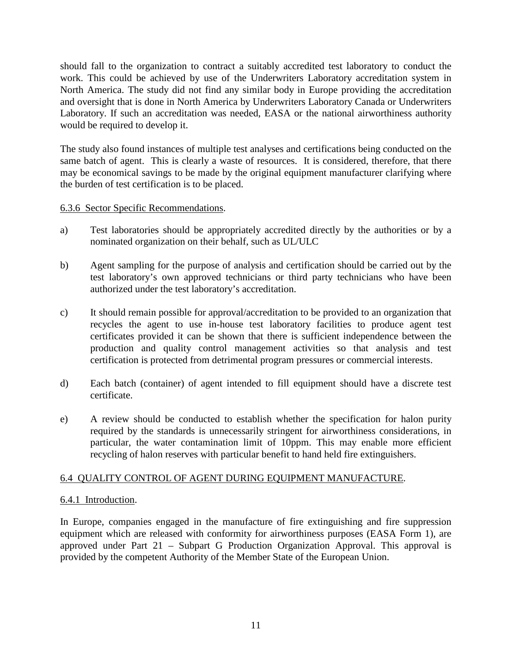<span id="page-21-0"></span>should fall to the organization to contract a suitably accredited test laboratory to conduct the work. This could be achieved by use of the Underwriters Laboratory accreditation system in North America. The study did not find any similar body in Europe providing the accreditation and oversight that is done in North America by Underwriters Laboratory Canada or Underwriters Laboratory. If such an accreditation was needed, EASA or the national airworthiness authority would be required to develop it.

The study also found instances of multiple test analyses and certifications being conducted on the same batch of agent. This is clearly a waste of resources. It is considered, therefore, that there may be economical savings to be made by the original equipment manufacturer clarifying where the burden of test certification is to be placed.

### 6.3.6 Sector Specific Recommendations.

- a) Test laboratories should be appropriately accredited directly by the authorities or by a nominated organization on their behalf, such as UL/ULC
- b) Agent sampling for the purpose of analysis and certification should be carried out by the test laboratory's own approved technicians or third party technicians who have been authorized under the test laboratory's accreditation.
- c) It should remain possible for approval/accreditation to be provided to an organization that recycles the agent to use in-house test laboratory facilities to produce agent test certificates provided it can be shown that there is sufficient independence between the production and quality control management activities so that analysis and test certification is protected from detrimental program pressures or commercial interests.
- d) Each batch (container) of agent intended to fill equipment should have a discrete test certificate.
- e) A review should be conducted to establish whether the specification for halon purity required by the standards is unnecessarily stringent for airworthiness considerations, in particular, the water contamination limit of 10ppm. This may enable more efficient recycling of halon reserves with particular benefit to hand held fire extinguishers.

### 6.4 QUALITY CONTROL OF AGENT DURING EQUIPMENT MANUFACTURE.

### 6.4.1 Introduction.

In Europe, companies engaged in the manufacture of fire extinguishing and fire suppression equipment which are released with conformity for airworthiness purposes (EASA Form 1), are approved under Part 21 – Subpart G Production Organization Approval. This approval is provided by the competent Authority of the Member State of the European Union.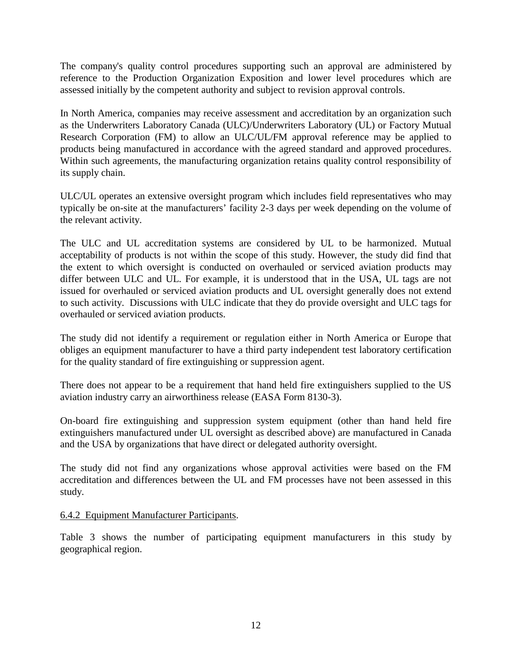<span id="page-22-0"></span>The company's quality control procedures supporting such an approval are administered by reference to the Production Organization Exposition and lower level procedures which are assessed initially by the competent authority and subject to revision approval controls.

In North America, companies may receive assessment and accreditation by an organization such as the Underwriters Laboratory Canada (ULC)/Underwriters Laboratory (UL) or Factory Mutual Research Corporation (FM) to allow an ULC/UL/FM approval reference may be applied to products being manufactured in accordance with the agreed standard and approved procedures. Within such agreements, the manufacturing organization retains quality control responsibility of its supply chain.

ULC/UL operates an extensive oversight program which includes field representatives who may typically be on-site at the manufacturers' facility 2-3 days per week depending on the volume of the relevant activity.

The ULC and UL accreditation systems are considered by UL to be harmonized. Mutual acceptability of products is not within the scope of this study. However, the study did find that the extent to which oversight is conducted on overhauled or serviced aviation products may differ between ULC and UL. For example, it is understood that in the USA, UL tags are not issued for overhauled or serviced aviation products and UL oversight generally does not extend to such activity. Discussions with ULC indicate that they do provide oversight and ULC tags for overhauled or serviced aviation products.

The study did not identify a requirement or regulation either in North America or Europe that obliges an equipment manufacturer to have a third party independent test laboratory certification for the quality standard of fire extinguishing or suppression agent.

There does not appear to be a requirement that hand held fire extinguishers supplied to the US aviation industry carry an airworthiness release (EASA Form 8130-3).

On-board fire extinguishing and suppression system equipment (other than hand held fire extinguishers manufactured under UL oversight as described above) are manufactured in Canada and the USA by organizations that have direct or delegated authority oversight.

The study did not find any organizations whose approval activities were based on the FM accreditation and differences between the UL and FM processes have not been assessed in this study.

### 6.4.2 Equipment Manufacturer Participants.

Table 3 shows the number of participating equipment manufacturers in this study by geographical region.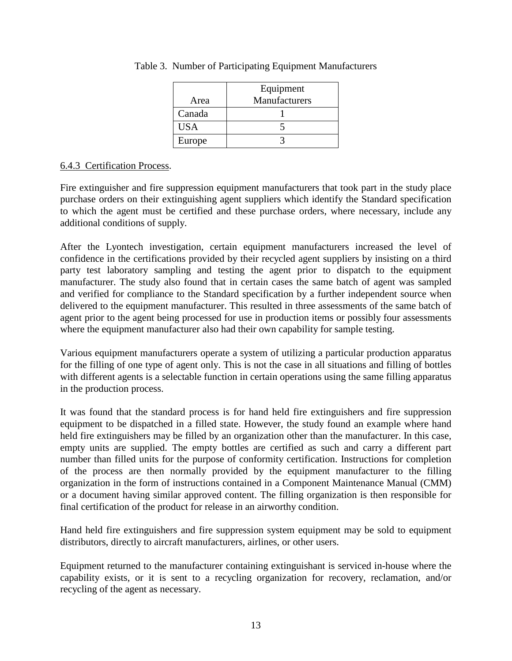|            | Equipment     |
|------------|---------------|
| Area       | Manufacturers |
| Canada     |               |
| <b>USA</b> |               |
| Europe     |               |

### <span id="page-23-0"></span>Table 3. Number of Participating Equipment Manufacturers

### 6.4.3 Certification Process.

Fire extinguisher and fire suppression equipment manufacturers that took part in the study place purchase orders on their extinguishing agent suppliers which identify the Standard specification to which the agent must be certified and these purchase orders, where necessary, include any additional conditions of supply.

After the Lyontech investigation, certain equipment manufacturers increased the level of confidence in the certifications provided by their recycled agent suppliers by insisting on a third party test laboratory sampling and testing the agent prior to dispatch to the equipment manufacturer. The study also found that in certain cases the same batch of agent was sampled and verified for compliance to the Standard specification by a further independent source when delivered to the equipment manufacturer. This resulted in three assessments of the same batch of agent prior to the agent being processed for use in production items or possibly four assessments where the equipment manufacturer also had their own capability for sample testing.

Various equipment manufacturers operate a system of utilizing a particular production apparatus for the filling of one type of agent only. This is not the case in all situations and filling of bottles with different agents is a selectable function in certain operations using the same filling apparatus in the production process.

It was found that the standard process is for hand held fire extinguishers and fire suppression equipment to be dispatched in a filled state. However, the study found an example where hand held fire extinguishers may be filled by an organization other than the manufacturer. In this case, empty units are supplied. The empty bottles are certified as such and carry a different part number than filled units for the purpose of conformity certification. Instructions for completion of the process are then normally provided by the equipment manufacturer to the filling organization in the form of instructions contained in a Component Maintenance Manual (CMM) or a document having similar approved content. The filling organization is then responsible for final certification of the product for release in an airworthy condition.

Hand held fire extinguishers and fire suppression system equipment may be sold to equipment distributors, directly to aircraft manufacturers, airlines, or other users.

Equipment returned to the manufacturer containing extinguishant is serviced in-house where the capability exists, or it is sent to a recycling organization for recovery, reclamation, and/or recycling of the agent as necessary.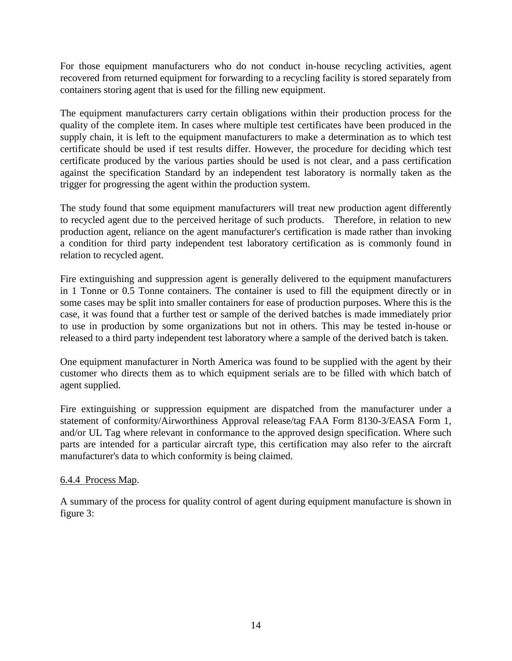<span id="page-24-0"></span>For those equipment manufacturers who do not conduct in-house recycling activities, agent recovered from returned equipment for forwarding to a recycling facility is stored separately from containers storing agent that is used for the filling new equipment.

The equipment manufacturers carry certain obligations within their production process for the quality of the complete item. In cases where multiple test certificates have been produced in the supply chain, it is left to the equipment manufacturers to make a determination as to which test certificate should be used if test results differ. However, the procedure for deciding which test certificate produced by the various parties should be used is not clear, and a pass certification against the specification Standard by an independent test laboratory is normally taken as the trigger for progressing the agent within the production system.

The study found that some equipment manufacturers will treat new production agent differently to recycled agent due to the perceived heritage of such products. Therefore, in relation to new production agent, reliance on the agent manufacturer's certification is made rather than invoking a condition for third party independent test laboratory certification as is commonly found in relation to recycled agent.

Fire extinguishing and suppression agent is generally delivered to the equipment manufacturers in 1 Tonne or 0.5 Tonne containers. The container is used to fill the equipment directly or in some cases may be split into smaller containers for ease of production purposes. Where this is the case, it was found that a further test or sample of the derived batches is made immediately prior to use in production by some organizations but not in others. This may be tested in-house or released to a third party independent test laboratory where a sample of the derived batch is taken.

One equipment manufacturer in North America was found to be supplied with the agent by their customer who directs them as to which equipment serials are to be filled with which batch of agent supplied.

Fire extinguishing or suppression equipment are dispatched from the manufacturer under a statement of conformity/Airworthiness Approval release/tag FAA Form 8130-3/EASA Form 1, and/or UL Tag where relevant in conformance to the approved design specification. Where such parts are intended for a particular aircraft type, this certification may also refer to the aircraft manufacturer's data to which conformity is being claimed.

### 6.4.4 Process Map.

A summary of the process for quality control of agent during equipment manufacture is shown in figure 3: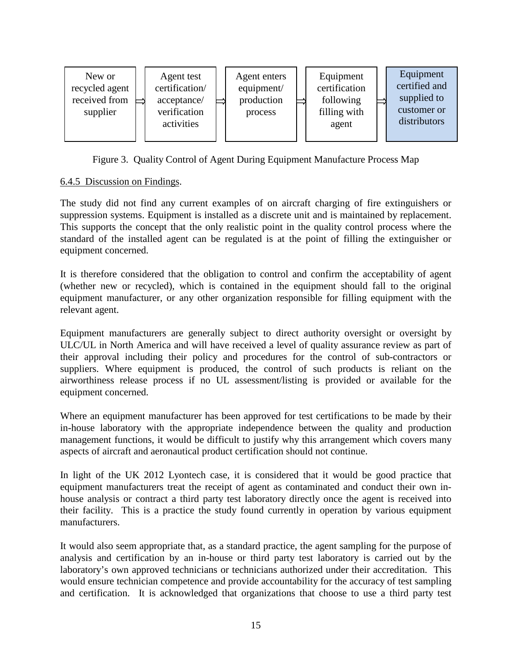<span id="page-25-0"></span>

Figure 3. Quality Control of Agent During Equipment Manufacture Process Map

# 6.4.5 Discussion on Findings.

The study did not find any current examples of on aircraft charging of fire extinguishers or suppression systems. Equipment is installed as a discrete unit and is maintained by replacement. This supports the concept that the only realistic point in the quality control process where the standard of the installed agent can be regulated is at the point of filling the extinguisher or equipment concerned.

It is therefore considered that the obligation to control and confirm the acceptability of agent (whether new or recycled), which is contained in the equipment should fall to the original equipment manufacturer, or any other organization responsible for filling equipment with the relevant agent.

Equipment manufacturers are generally subject to direct authority oversight or oversight by ULC/UL in North America and will have received a level of quality assurance review as part of their approval including their policy and procedures for the control of sub-contractors or suppliers. Where equipment is produced, the control of such products is reliant on the airworthiness release process if no UL assessment/listing is provided or available for the equipment concerned.

Where an equipment manufacturer has been approved for test certifications to be made by their in-house laboratory with the appropriate independence between the quality and production management functions, it would be difficult to justify why this arrangement which covers many aspects of aircraft and aeronautical product certification should not continue.

In light of the UK 2012 Lyontech case, it is considered that it would be good practice that equipment manufacturers treat the receipt of agent as contaminated and conduct their own inhouse analysis or contract a third party test laboratory directly once the agent is received into their facility. This is a practice the study found currently in operation by various equipment manufacturers.

It would also seem appropriate that, as a standard practice, the agent sampling for the purpose of analysis and certification by an in-house or third party test laboratory is carried out by the laboratory's own approved technicians or technicians authorized under their accreditation. This would ensure technician competence and provide accountability for the accuracy of test sampling and certification. It is acknowledged that organizations that choose to use a third party test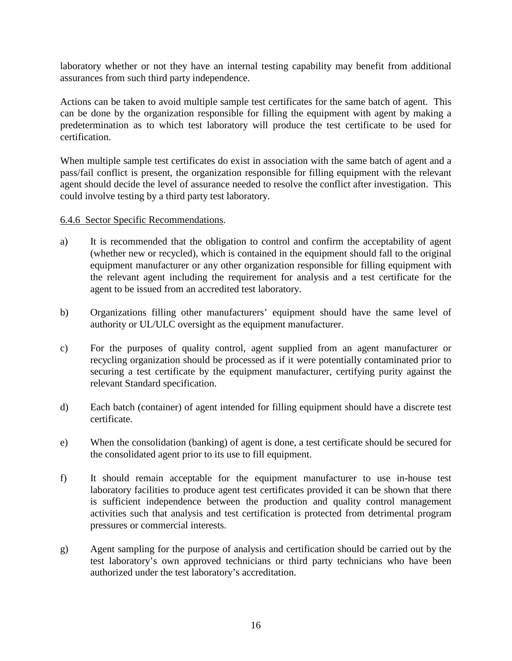<span id="page-26-0"></span>laboratory whether or not they have an internal testing capability may benefit from additional assurances from such third party independence.

Actions can be taken to avoid multiple sample test certificates for the same batch of agent. This can be done by the organization responsible for filling the equipment with agent by making a predetermination as to which test laboratory will produce the test certificate to be used for certification.

When multiple sample test certificates do exist in association with the same batch of agent and a pass/fail conflict is present, the organization responsible for filling equipment with the relevant agent should decide the level of assurance needed to resolve the conflict after investigation. This could involve testing by a third party test laboratory.

#### 6.4.6 Sector Specific Recommendations.

- a) It is recommended that the obligation to control and confirm the acceptability of agent (whether new or recycled), which is contained in the equipment should fall to the original equipment manufacturer or any other organization responsible for filling equipment with the relevant agent including the requirement for analysis and a test certificate for the agent to be issued from an accredited test laboratory.
- b) Organizations filling other manufacturers' equipment should have the same level of authority or UL/ULC oversight as the equipment manufacturer.
- c) For the purposes of quality control, agent supplied from an agent manufacturer or recycling organization should be processed as if it were potentially contaminated prior to securing a test certificate by the equipment manufacturer, certifying purity against the relevant Standard specification.
- d) Each batch (container) of agent intended for filling equipment should have a discrete test certificate.
- e) When the consolidation (banking) of agent is done, a test certificate should be secured for the consolidated agent prior to its use to fill equipment.
- f) It should remain acceptable for the equipment manufacturer to use in-house test laboratory facilities to produce agent test certificates provided it can be shown that there is sufficient independence between the production and quality control management activities such that analysis and test certification is protected from detrimental program pressures or commercial interests.
- g) Agent sampling for the purpose of analysis and certification should be carried out by the test laboratory's own approved technicians or third party technicians who have been authorized under the test laboratory's accreditation.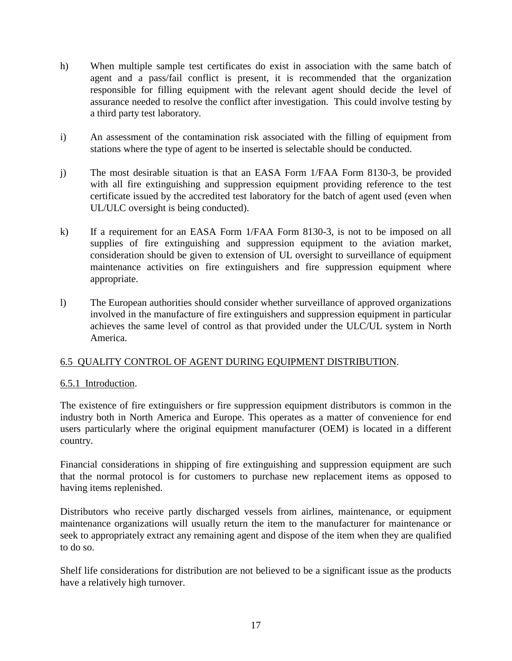- <span id="page-27-0"></span>h) When multiple sample test certificates do exist in association with the same batch of agent and a pass/fail conflict is present, it is recommended that the organization responsible for filling equipment with the relevant agent should decide the level of assurance needed to resolve the conflict after investigation. This could involve testing by a third party test laboratory.
- i) An assessment of the contamination risk associated with the filling of equipment from stations where the type of agent to be inserted is selectable should be conducted.
- j) The most desirable situation is that an EASA Form 1/FAA Form 8130-3, be provided with all fire extinguishing and suppression equipment providing reference to the test certificate issued by the accredited test laboratory for the batch of agent used (even when UL/ULC oversight is being conducted).
- k) If a requirement for an EASA Form 1/FAA Form 8130-3, is not to be imposed on all supplies of fire extinguishing and suppression equipment to the aviation market, consideration should be given to extension of UL oversight to surveillance of equipment maintenance activities on fire extinguishers and fire suppression equipment where appropriate.
- l) The European authorities should consider whether surveillance of approved organizations involved in the manufacture of fire extinguishers and suppression equipment in particular achieves the same level of control as that provided under the ULC/UL system in North America.

### 6.5 QUALITY CONTROL OF AGENT DURING EQUIPMENT DISTRIBUTION.

### 6.5.1 Introduction.

The existence of fire extinguishers or fire suppression equipment distributors is common in the industry both in North America and Europe. This operates as a matter of convenience for end users particularly where the original equipment manufacturer (OEM) is located in a different country.

Financial considerations in shipping of fire extinguishing and suppression equipment are such that the normal protocol is for customers to purchase new replacement items as opposed to having items replenished.

Distributors who receive partly discharged vessels from airlines, maintenance, or equipment maintenance organizations will usually return the item to the manufacturer for maintenance or seek to appropriately extract any remaining agent and dispose of the item when they are qualified to do so.

Shelf life considerations for distribution are not believed to be a significant issue as the products have a relatively high turnover.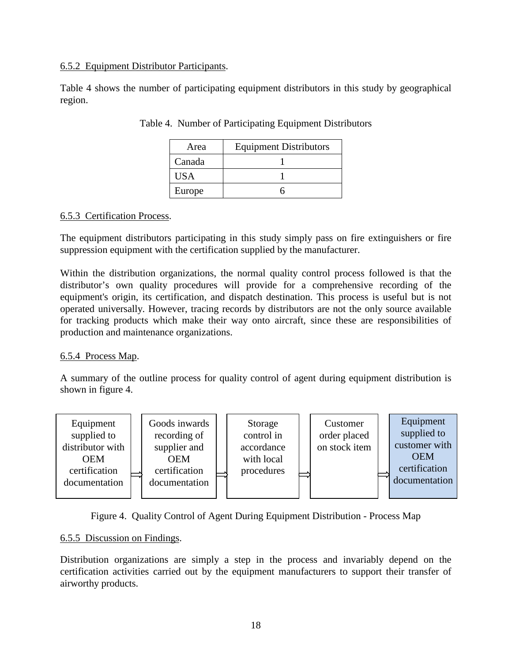### <span id="page-28-0"></span>6.5.2 Equipment Distributor Participants.

Table 4 shows the number of participating equipment distributors in this study by geographical region.

| Area   | <b>Equipment Distributors</b> |
|--------|-------------------------------|
| Canada |                               |
| USA    |                               |
| Europe |                               |

| Table 4. Number of Participating Equipment Distributors |  |  |  |  |  |  |
|---------------------------------------------------------|--|--|--|--|--|--|
|---------------------------------------------------------|--|--|--|--|--|--|

### 6.5.3 Certification Process.

The equipment distributors participating in this study simply pass on fire extinguishers or fire suppression equipment with the certification supplied by the manufacturer.

Within the distribution organizations, the normal quality control process followed is that the distributor's own quality procedures will provide for a comprehensive recording of the equipment's origin, its certification, and dispatch destination. This process is useful but is not operated universally. However, tracing records by distributors are not the only source available for tracking products which make their way onto aircraft, since these are responsibilities of production and maintenance organizations.

#### 6.5.4 Process Map.

A summary of the outline process for quality control of agent during equipment distribution is shown in figure 4.



Figure 4. Quality Control of Agent During Equipment Distribution - Process Map

#### 6.5.5 Discussion on Findings.

Distribution organizations are simply a step in the process and invariably depend on the certification activities carried out by the equipment manufacturers to support their transfer of airworthy products.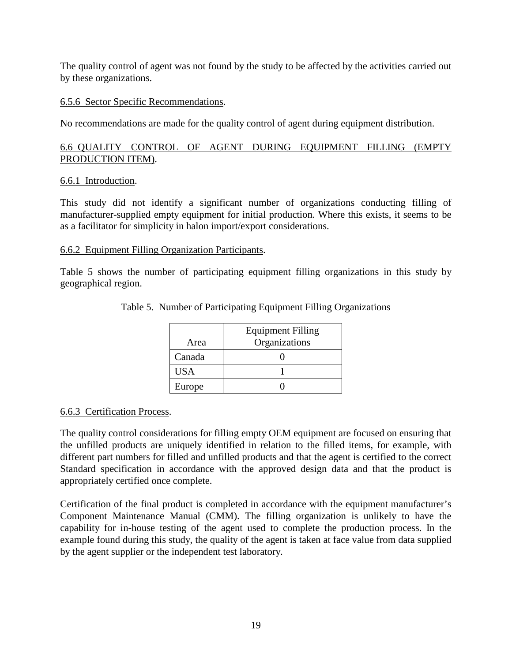<span id="page-29-0"></span>The quality control of agent was not found by the study to be affected by the activities carried out by these organizations.

## 6.5.6 Sector Specific Recommendations.

No recommendations are made for the quality control of agent during equipment distribution.

# 6.6 QUALITY CONTROL OF AGENT DURING EQUIPMENT FILLING (EMPTY PRODUCTION ITEM).

### 6.6.1 Introduction.

This study did not identify a significant number of organizations conducting filling of manufacturer-supplied empty equipment for initial production. Where this exists, it seems to be as a facilitator for simplicity in halon import/export considerations.

### 6.6.2 Equipment Filling Organization Participants.

Table 5 shows the number of participating equipment filling organizations in this study by geographical region.

| Area       | <b>Equipment Filling</b><br>Organizations |
|------------|-------------------------------------------|
| Canada     |                                           |
| <b>USA</b> |                                           |
| Europe     |                                           |

Table 5. Number of Participating Equipment Filling Organizations

### 6.6.3 Certification Process.

The quality control considerations for filling empty OEM equipment are focused on ensuring that the unfilled products are uniquely identified in relation to the filled items, for example, with different part numbers for filled and unfilled products and that the agent is certified to the correct Standard specification in accordance with the approved design data and that the product is appropriately certified once complete.

Certification of the final product is completed in accordance with the equipment manufacturer's Component Maintenance Manual (CMM). The filling organization is unlikely to have the capability for in-house testing of the agent used to complete the production process. In the example found during this study, the quality of the agent is taken at face value from data supplied by the agent supplier or the independent test laboratory.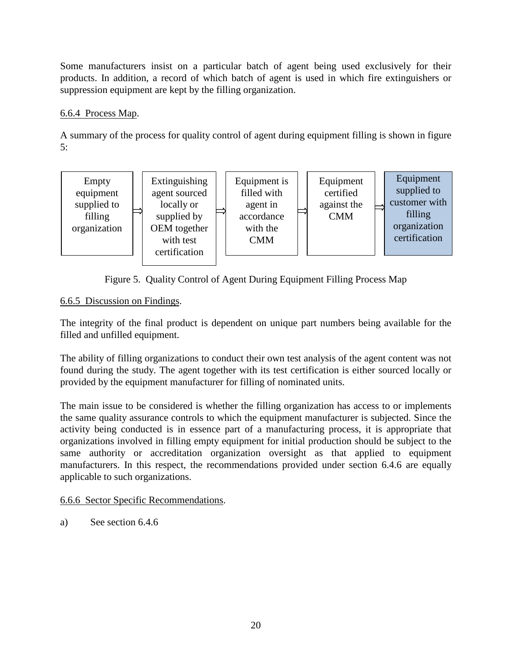<span id="page-30-0"></span>Some manufacturers insist on a particular batch of agent being used exclusively for their products. In addition, a record of which batch of agent is used in which fire extinguishers or suppression equipment are kept by the filling organization.

# 6.6.4 Process Map.

A summary of the process for quality control of agent during equipment filling is shown in figure 5:



Figure 5. Quality Control of Agent During Equipment Filling Process Map

# 6.6.5 Discussion on Findings.

The integrity of the final product is dependent on unique part numbers being available for the filled and unfilled equipment.

The ability of filling organizations to conduct their own test analysis of the agent content was not found during the study. The agent together with its test certification is either sourced locally or provided by the equipment manufacturer for filling of nominated units.

The main issue to be considered is whether the filling organization has access to or implements the same quality assurance controls to which the equipment manufacturer is subjected. Since the activity being conducted is in essence part of a manufacturing process, it is appropriate that organizations involved in filling empty equipment for initial production should be subject to the same authority or accreditation organization oversight as that applied to equipment manufacturers. In this respect, the recommendations provided under section 6.4.6 are equally applicable to such organizations.

# 6.6.6 Sector Specific Recommendations.

a) See section 6.4.6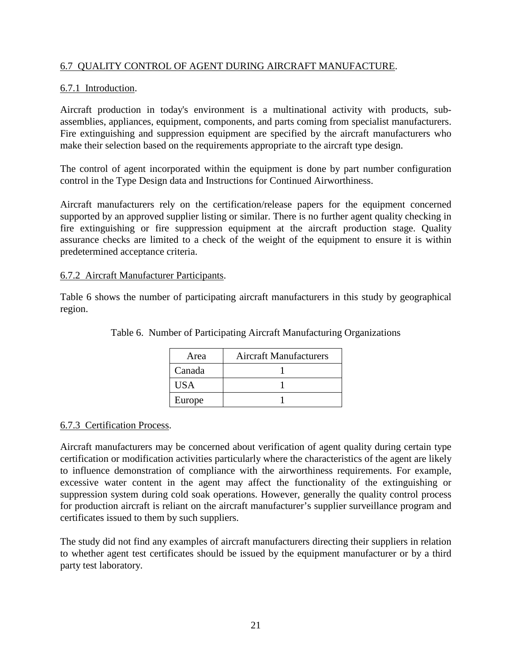### <span id="page-31-0"></span>6.7 QUALITY CONTROL OF AGENT DURING AIRCRAFT MANUFACTURE.

### 6.7.1 Introduction.

Aircraft production in today's environment is a multinational activity with products, subassemblies, appliances, equipment, components, and parts coming from specialist manufacturers. Fire extinguishing and suppression equipment are specified by the aircraft manufacturers who make their selection based on the requirements appropriate to the aircraft type design.

The control of agent incorporated within the equipment is done by part number configuration control in the Type Design data and Instructions for Continued Airworthiness.

Aircraft manufacturers rely on the certification/release papers for the equipment concerned supported by an approved supplier listing or similar. There is no further agent quality checking in fire extinguishing or fire suppression equipment at the aircraft production stage. Quality assurance checks are limited to a check of the weight of the equipment to ensure it is within predetermined acceptance criteria.

### 6.7.2 Aircraft Manufacturer Participants.

Table 6 shows the number of participating aircraft manufacturers in this study by geographical region.

| Area             | Aircraft Manufacturers |
|------------------|------------------------|
| Canada           |                        |
| USA <sup>.</sup> |                        |
| Europe           |                        |

Table 6. Number of Participating Aircraft Manufacturing Organizations

### 6.7.3 Certification Process.

Aircraft manufacturers may be concerned about verification of agent quality during certain type certification or modification activities particularly where the characteristics of the agent are likely to influence demonstration of compliance with the airworthiness requirements. For example, excessive water content in the agent may affect the functionality of the extinguishing or suppression system during cold soak operations. However, generally the quality control process for production aircraft is reliant on the aircraft manufacturer's supplier surveillance program and certificates issued to them by such suppliers.

The study did not find any examples of aircraft manufacturers directing their suppliers in relation to whether agent test certificates should be issued by the equipment manufacturer or by a third party test laboratory.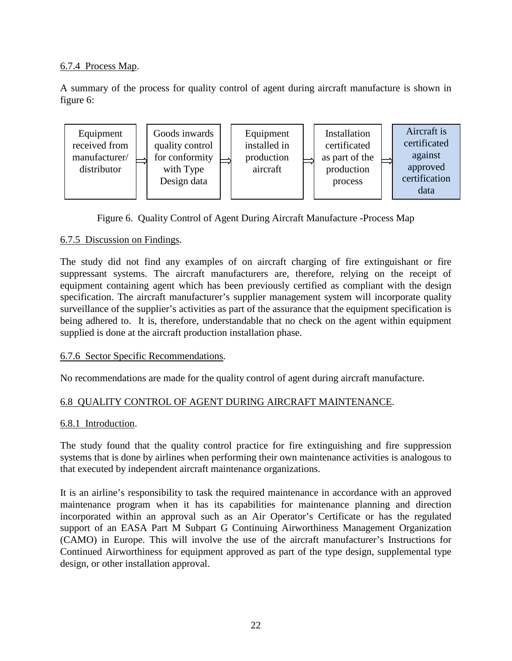### <span id="page-32-0"></span>6.7.4 Process Map.

A summary of the process for quality control of agent during aircraft manufacture is shown in figure 6:



Figure 6. Quality Control of Agent During Aircraft Manufacture -Process Map

### 6.7.5 Discussion on Findings.

The study did not find any examples of on aircraft charging of fire extinguishant or fire suppressant systems. The aircraft manufacturers are, therefore, relying on the receipt of equipment containing agent which has been previously certified as compliant with the design specification. The aircraft manufacturer's supplier management system will incorporate quality surveillance of the supplier's activities as part of the assurance that the equipment specification is being adhered to. It is, therefore, understandable that no check on the agent within equipment supplied is done at the aircraft production installation phase.

### 6.7.6 Sector Specific Recommendations.

No recommendations are made for the quality control of agent during aircraft manufacture.

# 6.8 QUALITY CONTROL OF AGENT DURING AIRCRAFT MAINTENANCE.

### 6.8.1 Introduction.

The study found that the quality control practice for fire extinguishing and fire suppression systems that is done by airlines when performing their own maintenance activities is analogous to that executed by independent aircraft maintenance organizations.

It is an airline's responsibility to task the required maintenance in accordance with an approved maintenance program when it has its capabilities for maintenance planning and direction incorporated within an approval such as an Air Operator's Certificate or has the regulated support of an EASA Part M Subpart G Continuing Airworthiness Management Organization (CAMO) in Europe. This will involve the use of the aircraft manufacturer's Instructions for Continued Airworthiness for equipment approved as part of the type design, supplemental type design, or other installation approval.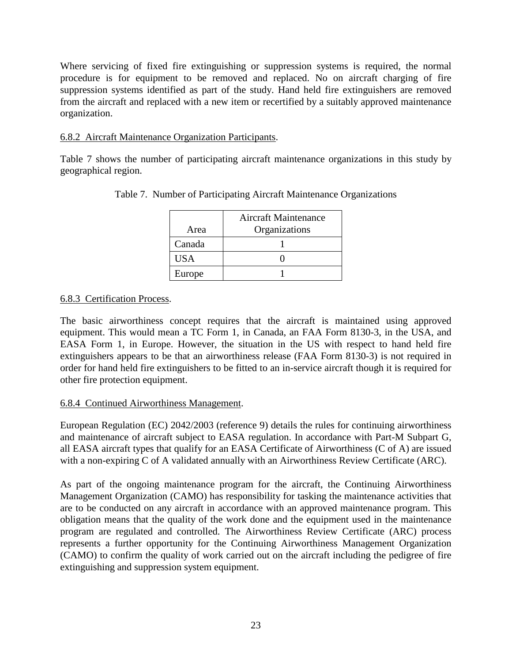<span id="page-33-0"></span>Where servicing of fixed fire extinguishing or suppression systems is required, the normal procedure is for equipment to be removed and replaced. No on aircraft charging of fire suppression systems identified as part of the study. Hand held fire extinguishers are removed from the aircraft and replaced with a new item or recertified by a suitably approved maintenance organization.

### 6.8.2 Aircraft Maintenance Organization Participants.

Table 7 shows the number of participating aircraft maintenance organizations in this study by geographical region.

| Area       | <b>Aircraft Maintenance</b><br>Organizations |
|------------|----------------------------------------------|
| Canada     |                                              |
| <b>USA</b> |                                              |
| Europe     |                                              |

### Table 7. Number of Participating Aircraft Maintenance Organizations

# 6.8.3 Certification Process.

The basic airworthiness concept requires that the aircraft is maintained using approved equipment. This would mean a TC Form 1, in Canada, an FAA Form 8130-3, in the USA, and EASA Form 1, in Europe. However, the situation in the US with respect to hand held fire extinguishers appears to be that an airworthiness release (FAA Form 8130-3) is not required in order for hand held fire extinguishers to be fitted to an in-service aircraft though it is required for other fire protection equipment.

### 6.8.4 Continued Airworthiness Management.

European Regulation (EC) 2042/2003 (reference 9) details the rules for continuing airworthiness and maintenance of aircraft subject to EASA regulation. In accordance with Part-M Subpart G, all EASA aircraft types that qualify for an EASA Certificate of Airworthiness (C of A) are issued with a non-expiring C of A validated annually with an Airworthiness Review Certificate (ARC).

As part of the ongoing maintenance program for the aircraft, the Continuing Airworthiness Management Organization (CAMO) has responsibility for tasking the maintenance activities that are to be conducted on any aircraft in accordance with an approved maintenance program. This obligation means that the quality of the work done and the equipment used in the maintenance program are regulated and controlled. The Airworthiness Review Certificate (ARC) process represents a further opportunity for the Continuing Airworthiness Management Organization (CAMO) to confirm the quality of work carried out on the aircraft including the pedigree of fire extinguishing and suppression system equipment.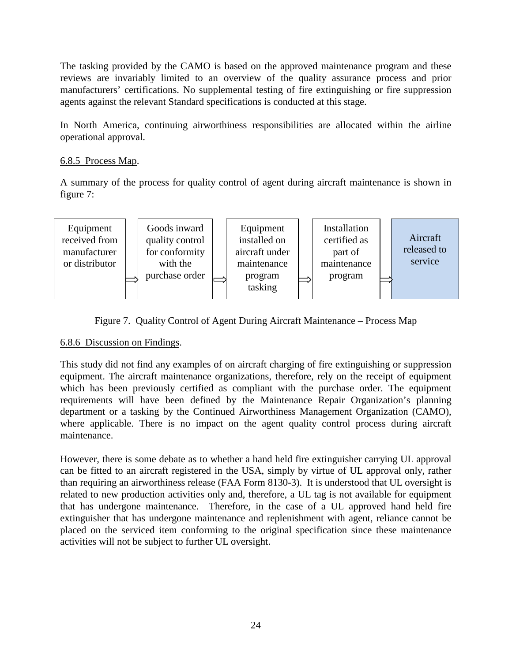<span id="page-34-0"></span>The tasking provided by the CAMO is based on the approved maintenance program and these reviews are invariably limited to an overview of the quality assurance process and prior manufacturers' certifications. No supplemental testing of fire extinguishing or fire suppression agents against the relevant Standard specifications is conducted at this stage.

In North America, continuing airworthiness responsibilities are allocated within the airline operational approval.

## 6.8.5 Process Map.

A summary of the process for quality control of agent during aircraft maintenance is shown in figure 7:



Figure 7. Quality Control of Agent During Aircraft Maintenance – Process Map

# 6.8.6 Discussion on Findings.

This study did not find any examples of on aircraft charging of fire extinguishing or suppression equipment. The aircraft maintenance organizations, therefore, rely on the receipt of equipment which has been previously certified as compliant with the purchase order. The equipment requirements will have been defined by the Maintenance Repair Organization's planning department or a tasking by the Continued Airworthiness Management Organization (CAMO), where applicable. There is no impact on the agent quality control process during aircraft maintenance.

However, there is some debate as to whether a hand held fire extinguisher carrying UL approval can be fitted to an aircraft registered in the USA, simply by virtue of UL approval only, rather than requiring an airworthiness release (FAA Form 8130-3). It is understood that UL oversight is related to new production activities only and, therefore, a UL tag is not available for equipment that has undergone maintenance. Therefore, in the case of a UL approved hand held fire extinguisher that has undergone maintenance and replenishment with agent, reliance cannot be placed on the serviced item conforming to the original specification since these maintenance activities will not be subject to further UL oversight.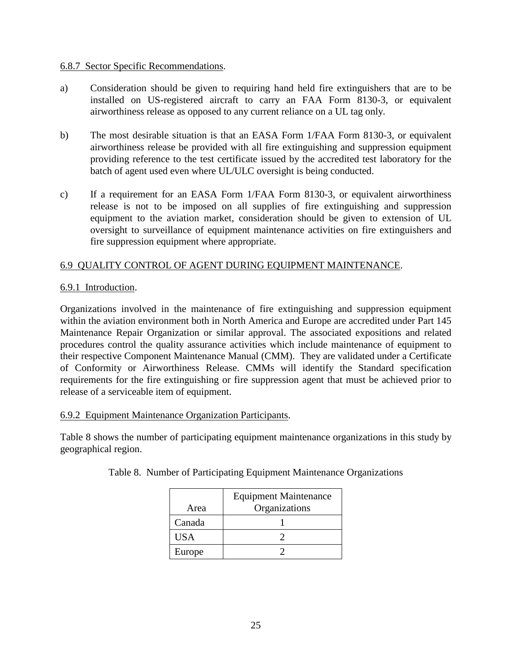### <span id="page-35-0"></span>6.8.7 Sector Specific Recommendations.

- a) Consideration should be given to requiring hand held fire extinguishers that are to be installed on US-registered aircraft to carry an FAA Form 8130-3, or equivalent airworthiness release as opposed to any current reliance on a UL tag only.
- b) The most desirable situation is that an EASA Form 1/FAA Form 8130-3, or equivalent airworthiness release be provided with all fire extinguishing and suppression equipment providing reference to the test certificate issued by the accredited test laboratory for the batch of agent used even where UL/ULC oversight is being conducted.
- c) If a requirement for an EASA Form 1/FAA Form 8130-3, or equivalent airworthiness release is not to be imposed on all supplies of fire extinguishing and suppression equipment to the aviation market, consideration should be given to extension of UL oversight to surveillance of equipment maintenance activities on fire extinguishers and fire suppression equipment where appropriate.

### 6.9 QUALITY CONTROL OF AGENT DURING EQUIPMENT MAINTENANCE.

### 6.9.1 Introduction.

Organizations involved in the maintenance of fire extinguishing and suppression equipment within the aviation environment both in North America and Europe are accredited under Part 145 Maintenance Repair Organization or similar approval. The associated expositions and related procedures control the quality assurance activities which include maintenance of equipment to their respective Component Maintenance Manual (CMM). They are validated under a Certificate of Conformity or Airworthiness Release. CMMs will identify the Standard specification requirements for the fire extinguishing or fire suppression agent that must be achieved prior to release of a serviceable item of equipment.

### 6.9.2 Equipment Maintenance Organization Participants.

Table 8 shows the number of participating equipment maintenance organizations in this study by geographical region.

|            | <b>Equipment Maintenance</b> |
|------------|------------------------------|
| Area       | Organizations                |
| Canada     |                              |
| <b>USA</b> |                              |
| Europe     |                              |

Table 8. Number of Participating Equipment Maintenance Organizations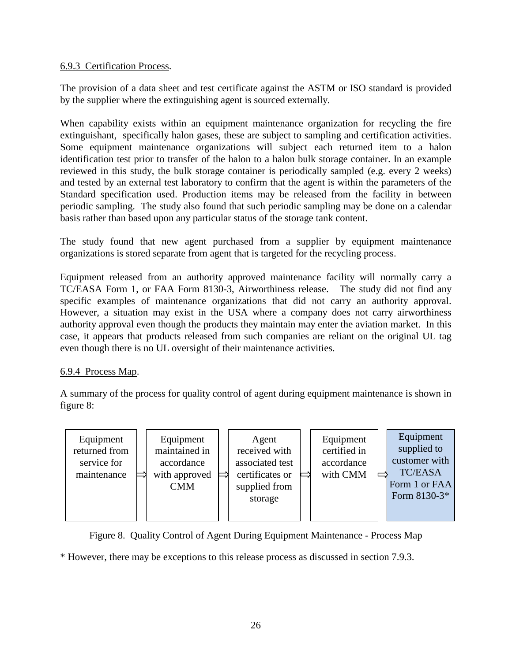### <span id="page-36-0"></span>6.9.3 Certification Process.

The provision of a data sheet and test certificate against the ASTM or ISO standard is provided by the supplier where the extinguishing agent is sourced externally.

When capability exists within an equipment maintenance organization for recycling the fire extinguishant, specifically halon gases, these are subject to sampling and certification activities. Some equipment maintenance organizations will subject each returned item to a halon identification test prior to transfer of the halon to a halon bulk storage container. In an example reviewed in this study, the bulk storage container is periodically sampled (e.g. every 2 weeks) and tested by an external test laboratory to confirm that the agent is within the parameters of the Standard specification used. Production items may be released from the facility in between periodic sampling. The study also found that such periodic sampling may be done on a calendar basis rather than based upon any particular status of the storage tank content.

The study found that new agent purchased from a supplier by equipment maintenance organizations is stored separate from agent that is targeted for the recycling process.

Equipment released from an authority approved maintenance facility will normally carry a TC/EASA Form 1, or FAA Form 8130-3, Airworthiness release. The study did not find any specific examples of maintenance organizations that did not carry an authority approval. However, a situation may exist in the USA where a company does not carry airworthiness authority approval even though the products they maintain may enter the aviation market. In this case, it appears that products released from such companies are reliant on the original UL tag even though there is no UL oversight of their maintenance activities.

### 6.9.4 Process Map.

A summary of the process for quality control of agent during equipment maintenance is shown in figure 8:



Figure 8. Quality Control of Agent During Equipment Maintenance - Process Map

\* However, there may be exceptions to this release process as discussed in section 7.9.3.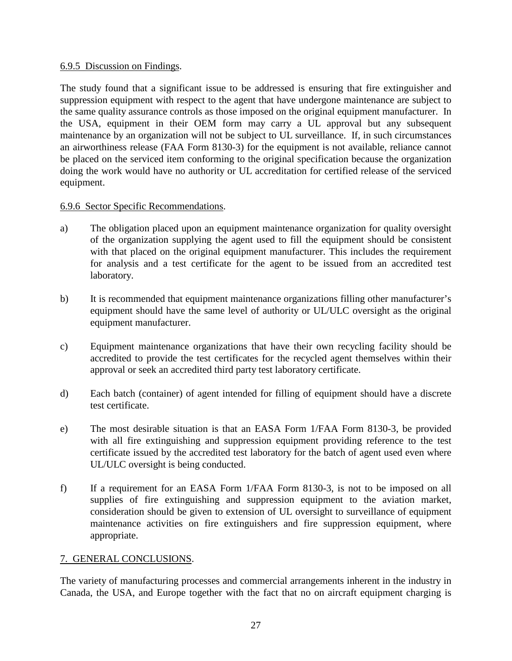### <span id="page-37-0"></span>6.9.5 Discussion on Findings.

The study found that a significant issue to be addressed is ensuring that fire extinguisher and suppression equipment with respect to the agent that have undergone maintenance are subject to the same quality assurance controls as those imposed on the original equipment manufacturer. In the USA, equipment in their OEM form may carry a UL approval but any subsequent maintenance by an organization will not be subject to UL surveillance. If, in such circumstances an airworthiness release (FAA Form 8130-3) for the equipment is not available, reliance cannot be placed on the serviced item conforming to the original specification because the organization doing the work would have no authority or UL accreditation for certified release of the serviced equipment.

### 6.9.6 Sector Specific Recommendations.

- a) The obligation placed upon an equipment maintenance organization for quality oversight of the organization supplying the agent used to fill the equipment should be consistent with that placed on the original equipment manufacturer. This includes the requirement for analysis and a test certificate for the agent to be issued from an accredited test laboratory.
- b) It is recommended that equipment maintenance organizations filling other manufacturer's equipment should have the same level of authority or UL/ULC oversight as the original equipment manufacturer.
- c) Equipment maintenance organizations that have their own recycling facility should be accredited to provide the test certificates for the recycled agent themselves within their approval or seek an accredited third party test laboratory certificate.
- d) Each batch (container) of agent intended for filling of equipment should have a discrete test certificate.
- e) The most desirable situation is that an EASA Form 1/FAA Form 8130-3, be provided with all fire extinguishing and suppression equipment providing reference to the test certificate issued by the accredited test laboratory for the batch of agent used even where UL/ULC oversight is being conducted.
- f) If a requirement for an EASA Form 1/FAA Form 8130-3, is not to be imposed on all supplies of fire extinguishing and suppression equipment to the aviation market, consideration should be given to extension of UL oversight to surveillance of equipment maintenance activities on fire extinguishers and fire suppression equipment, where appropriate.

### 7. GENERAL CONCLUSIONS.

The variety of manufacturing processes and commercial arrangements inherent in the industry in Canada, the USA, and Europe together with the fact that no on aircraft equipment charging is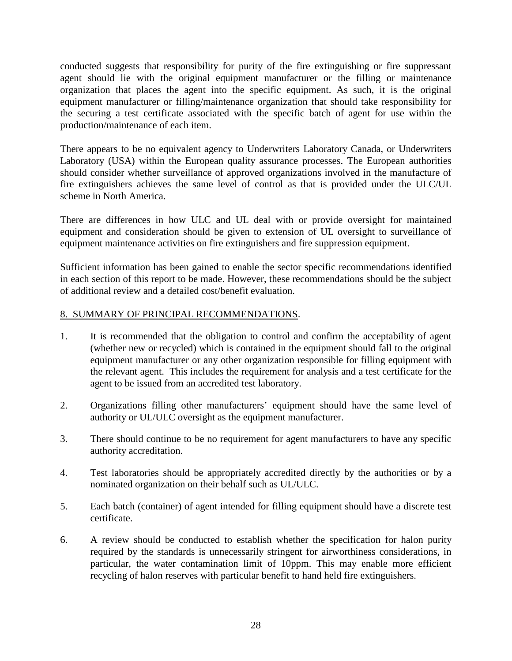<span id="page-38-0"></span>conducted suggests that responsibility for purity of the fire extinguishing or fire suppressant agent should lie with the original equipment manufacturer or the filling or maintenance organization that places the agent into the specific equipment. As such, it is the original equipment manufacturer or filling/maintenance organization that should take responsibility for the securing a test certificate associated with the specific batch of agent for use within the production/maintenance of each item.

There appears to be no equivalent agency to Underwriters Laboratory Canada, or Underwriters Laboratory (USA) within the European quality assurance processes. The European authorities should consider whether surveillance of approved organizations involved in the manufacture of fire extinguishers achieves the same level of control as that is provided under the ULC/UL scheme in North America.

There are differences in how ULC and UL deal with or provide oversight for maintained equipment and consideration should be given to extension of UL oversight to surveillance of equipment maintenance activities on fire extinguishers and fire suppression equipment.

Sufficient information has been gained to enable the sector specific recommendations identified in each section of this report to be made. However, these recommendations should be the subject of additional review and a detailed cost/benefit evaluation.

### 8. SUMMARY OF PRINCIPAL RECOMMENDATIONS.

- 1. It is recommended that the obligation to control and confirm the acceptability of agent (whether new or recycled) which is contained in the equipment should fall to the original equipment manufacturer or any other organization responsible for filling equipment with the relevant agent. This includes the requirement for analysis and a test certificate for the agent to be issued from an accredited test laboratory.
- 2. Organizations filling other manufacturers' equipment should have the same level of authority or UL/ULC oversight as the equipment manufacturer.
- 3. There should continue to be no requirement for agent manufacturers to have any specific authority accreditation.
- 4. Test laboratories should be appropriately accredited directly by the authorities or by a nominated organization on their behalf such as UL/ULC.
- 5. Each batch (container) of agent intended for filling equipment should have a discrete test certificate.
- 6. A review should be conducted to establish whether the specification for halon purity required by the standards is unnecessarily stringent for airworthiness considerations, in particular, the water contamination limit of 10ppm. This may enable more efficient recycling of halon reserves with particular benefit to hand held fire extinguishers.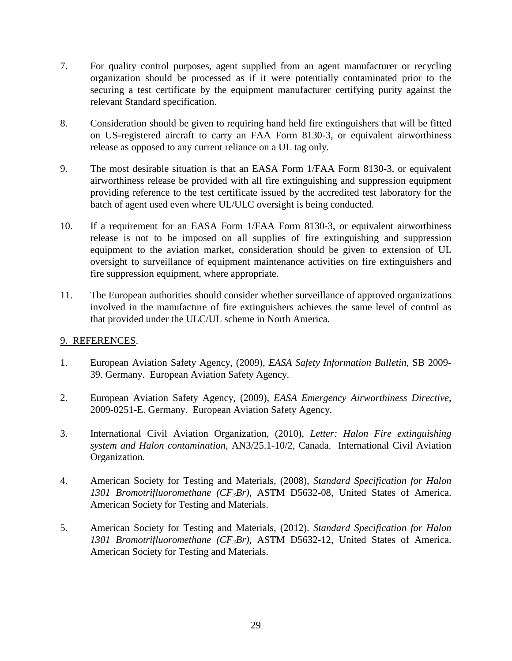- <span id="page-39-0"></span>7. For quality control purposes, agent supplied from an agent manufacturer or recycling organization should be processed as if it were potentially contaminated prior to the securing a test certificate by the equipment manufacturer certifying purity against the relevant Standard specification.
- 8. Consideration should be given to requiring hand held fire extinguishers that will be fitted on US-registered aircraft to carry an FAA Form 8130-3, or equivalent airworthiness release as opposed to any current reliance on a UL tag only.
- 9. The most desirable situation is that an EASA Form 1/FAA Form 8130-3, or equivalent airworthiness release be provided with all fire extinguishing and suppression equipment providing reference to the test certificate issued by the accredited test laboratory for the batch of agent used even where UL/ULC oversight is being conducted.
- 10. If a requirement for an EASA Form 1/FAA Form 8130-3, or equivalent airworthiness release is not to be imposed on all supplies of fire extinguishing and suppression equipment to the aviation market, consideration should be given to extension of UL oversight to surveillance of equipment maintenance activities on fire extinguishers and fire suppression equipment, where appropriate.
- 11. The European authorities should consider whether surveillance of approved organizations involved in the manufacture of fire extinguishers achieves the same level of control as that provided under the ULC/UL scheme in North America.

### 9. REFERENCES.

- 1. European Aviation Safety Agency, (2009), *EASA Safety Information Bulletin*, SB 2009- 39. Germany. European Aviation Safety Agency.
- 2. European Aviation Safety Agency, (2009), *EASA Emergency Airworthiness Directive*, 2009-0251-E. Germany. European Aviation Safety Agency.
- 3. International Civil Aviation Organization, (2010), *Letter: Halon Fire extinguishing system and Halon contamination,* AN3/25.1-10/2, Canada. International Civil Aviation Organization.
- 4. American Society for Testing and Materials, (2008), *Standard Specification for Halon 1301 Bromotrifluoromethane (CF3Br)*, ASTM D5632-08, United States of America. American Society for Testing and Materials.
- 5. American Society for Testing and Materials, (2012). *Standard Specification for Halon 1301 Bromotrifluoromethane (CF3Br)*, ASTM D5632-12, United States of America. American Society for Testing and Materials.